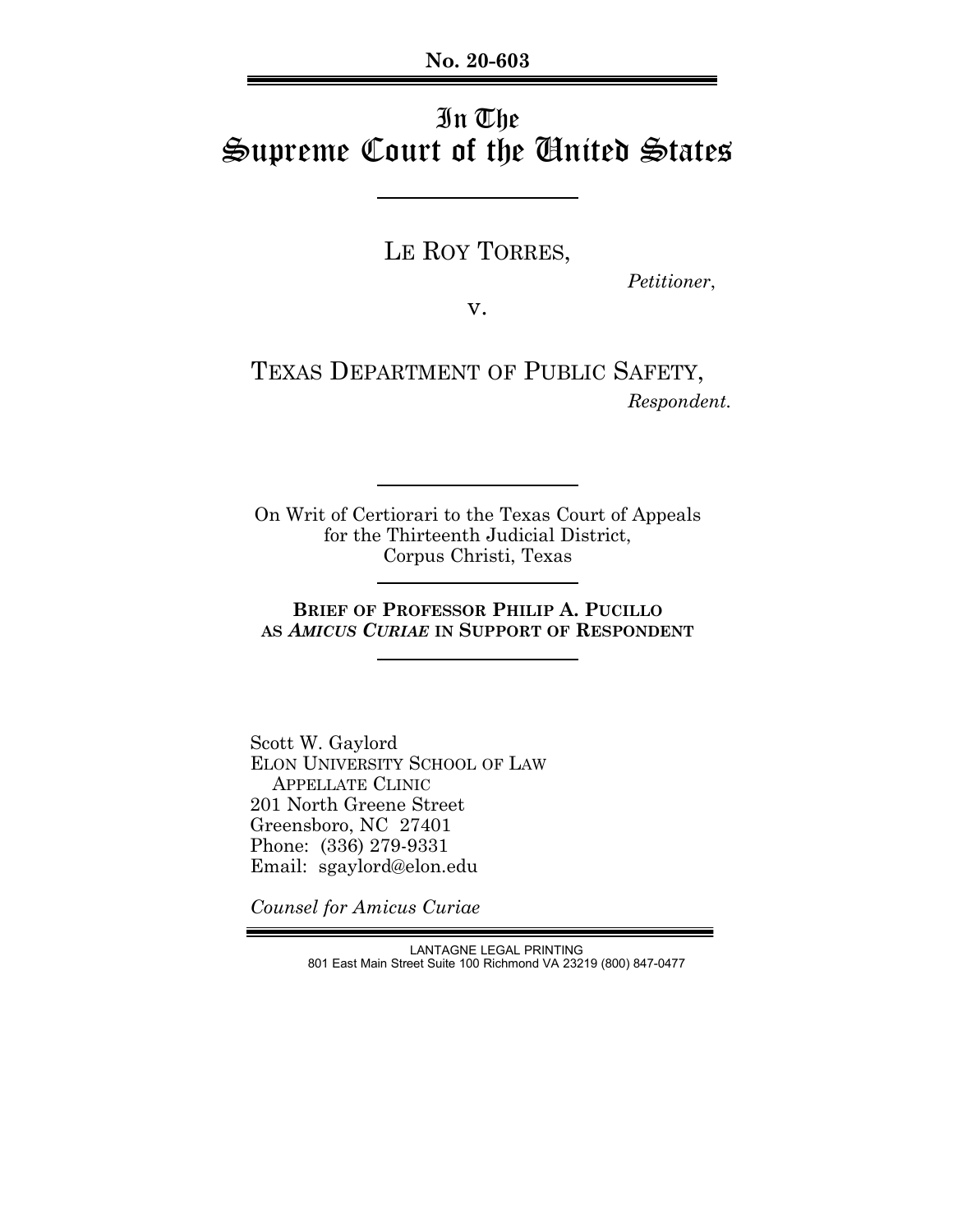**No. 20-603**

# In The Supreme Court of the United States

LE ROY TORRES,

 *Petitioner*,

v.

TEXAS DEPARTMENT OF PUBLIC SAFETY,  *Respondent.*

On Writ of Certiorari to the Texas Court of Appeals for the Thirteenth Judicial District, Corpus Christi, Texas

**BRIEF OF PROFESSOR PHILIP A. PUCILLO AS** *AMICUS CURIAE* **IN SUPPORT OF RESPONDENT**

Scott W. Gaylord ELON UNIVERSITY SCHOOL OF LAW APPELLATE CLINIC 201 North Greene Street Greensboro, NC 27401 Phone: (336) 279-9331 Email: sgaylord@elon.edu

*Counsel for Amicus Curiae*

LANTAGNE LEGAL PRINTING 801 East Main Street Suite 100 Richmond VA 23219 (800) 847-0477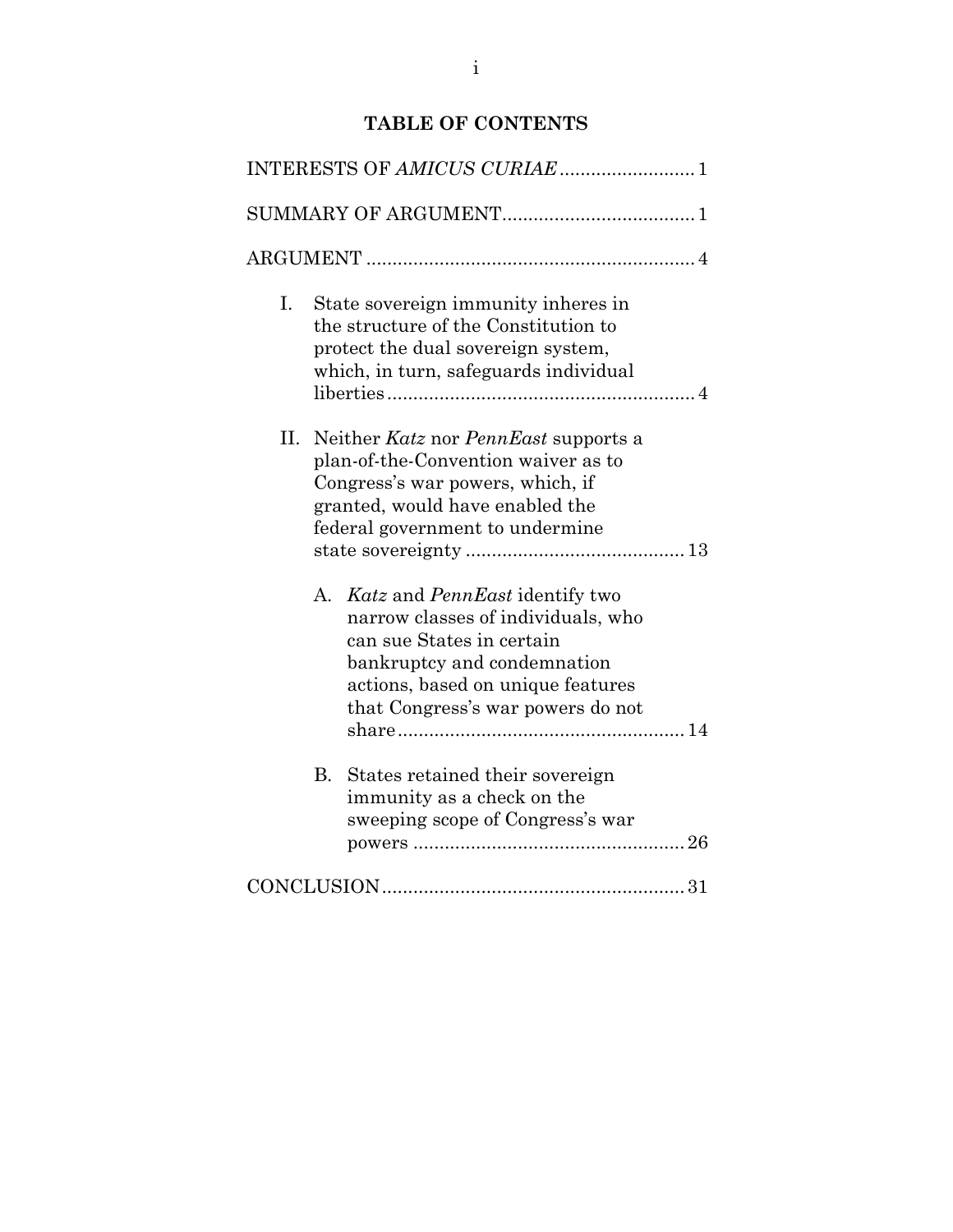# **TABLE OF CONTENTS**

| I. |                                                                                                                                                                                       | State sovereign immunity inheres in<br>the structure of the Constitution to<br>protect the dual sovereign system,<br>which, in turn, safeguards individual                                                    |  |  |  |
|----|---------------------------------------------------------------------------------------------------------------------------------------------------------------------------------------|---------------------------------------------------------------------------------------------------------------------------------------------------------------------------------------------------------------|--|--|--|
| П. | Neither Katz nor PennEast supports a<br>plan-of-the-Convention waiver as to<br>Congress's war powers, which, if<br>granted, would have enabled the<br>federal government to undermine |                                                                                                                                                                                                               |  |  |  |
|    |                                                                                                                                                                                       | A. Katz and PennEast identify two<br>narrow classes of individuals, who<br>can sue States in certain<br>bankruptcy and condemnation<br>actions, based on unique features<br>that Congress's war powers do not |  |  |  |
|    | В.                                                                                                                                                                                    | States retained their sovereign<br>immunity as a check on the<br>sweeping scope of Congress's war                                                                                                             |  |  |  |
|    |                                                                                                                                                                                       |                                                                                                                                                                                                               |  |  |  |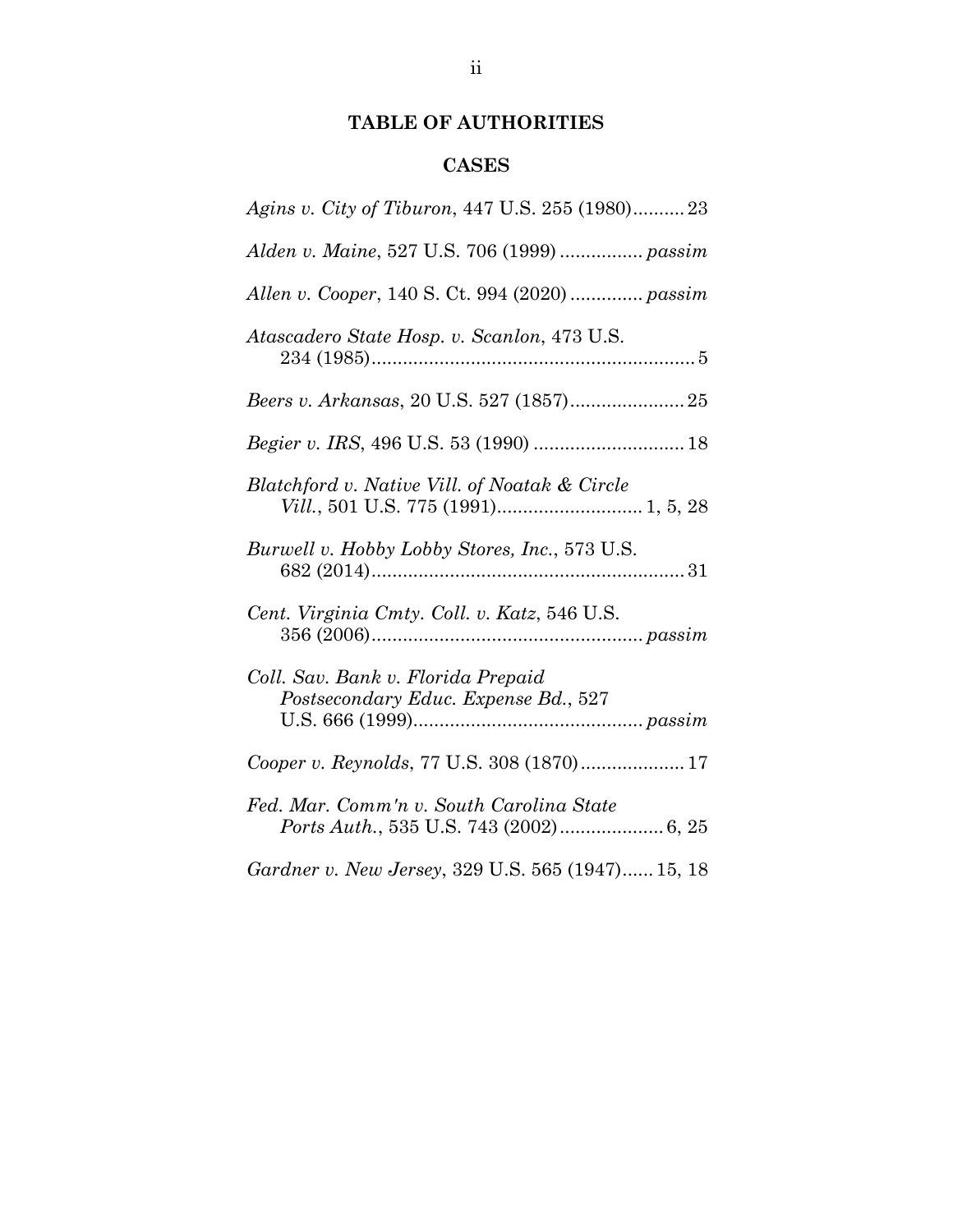# **TABLE OF AUTHORITIES**

## **CASES**

| Agins v. City of Tiburon, 447 U.S. 255 (1980)23                                    |
|------------------------------------------------------------------------------------|
| Alden v. Maine, 527 U.S. 706 (1999)  passim                                        |
| Allen v. Cooper, 140 S. Ct. 994 (2020)  passim                                     |
| Atascadero State Hosp. v. Scanlon, 473 U.S.                                        |
|                                                                                    |
|                                                                                    |
| Blatchford v. Native Vill. of Noatak & Circle                                      |
| Burwell v. Hobby Lobby Stores, Inc., 573 U.S.                                      |
| Cent. Virginia Cmty. Coll. v. Katz, 546 U.S.                                       |
| Coll. Sav. Bank v. Florida Prepaid<br>Postsecondary Educ. Expense Bd., 527         |
| Cooper v. Reynolds, 77 U.S. 308 (1870) 17                                          |
| Fed. Mar. Comm'n v. South Carolina State<br>Ports Auth., 535 U.S. 743 (2002) 6, 25 |
| Gardner v. New Jersey, 329 U.S. 565 (1947) 15, 18                                  |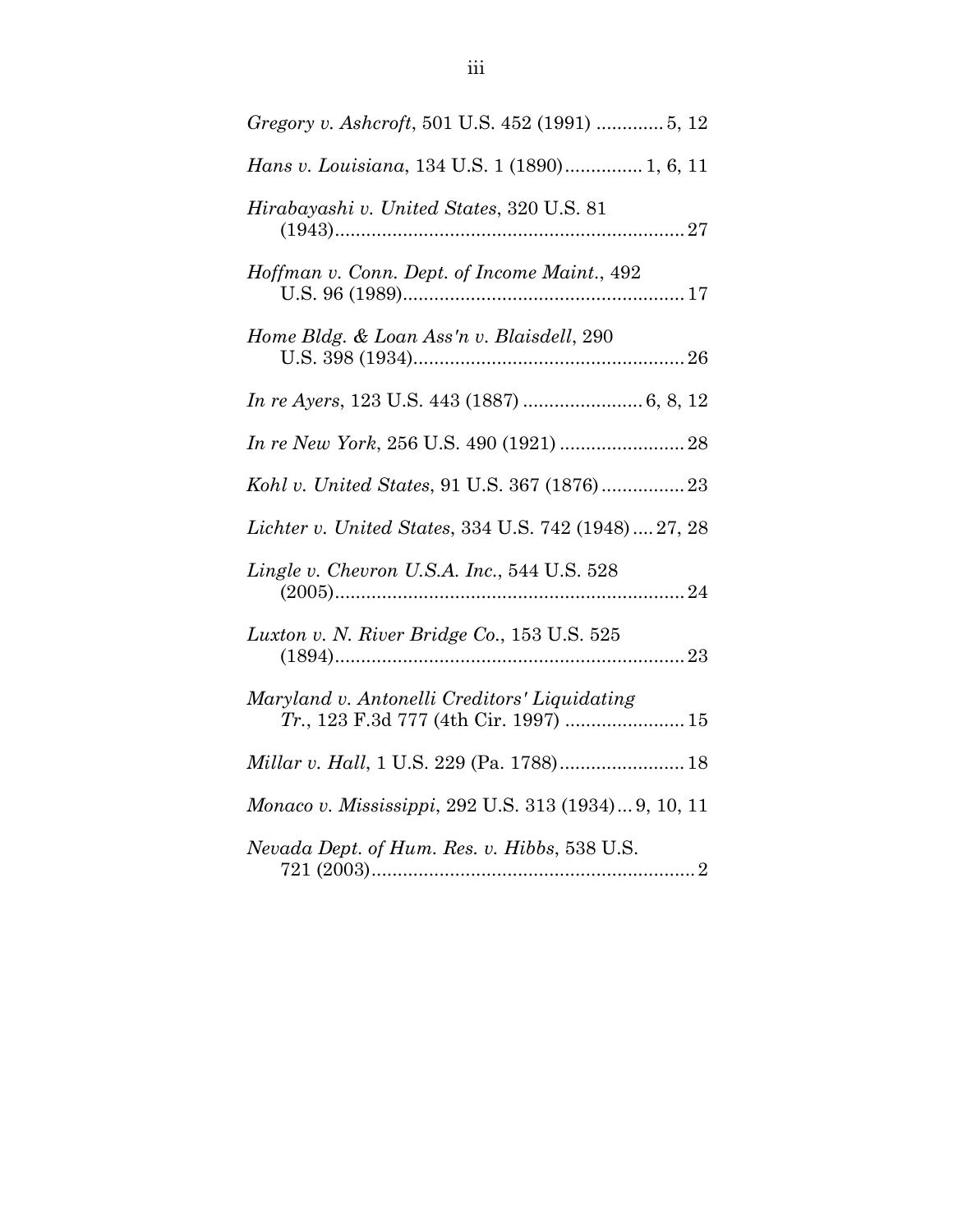| Gregory v. Ashcroft, 501 U.S. 452 (1991)  5, 12                                       |
|---------------------------------------------------------------------------------------|
| Hans v. Louisiana, 134 U.S. 1 (1890) 1, 6, 11                                         |
| Hirabayashi v. United States, 320 U.S. 81                                             |
| Hoffman v. Conn. Dept. of Income Maint., 492                                          |
| Home Bldg. & Loan Ass'n v. Blaisdell, 290                                             |
|                                                                                       |
|                                                                                       |
| Kohl v. United States, 91 U.S. 367 (1876) 23                                          |
| Lichter v. United States, 334 U.S. 742 (1948)  27, 28                                 |
| Lingle v. Chevron U.S.A. Inc., 544 U.S. 528                                           |
| Luxton v. N. River Bridge Co., 153 U.S. 525                                           |
| Maryland v. Antonelli Creditors' Liquidating<br>Tr., 123 F.3d 777 (4th Cir. 1997)  15 |
|                                                                                       |
| Monaco v. Mississippi, 292 U.S. 313 (1934) 9, 10, 11                                  |
| Nevada Dept. of Hum. Res. v. Hibbs, 538 U.S.                                          |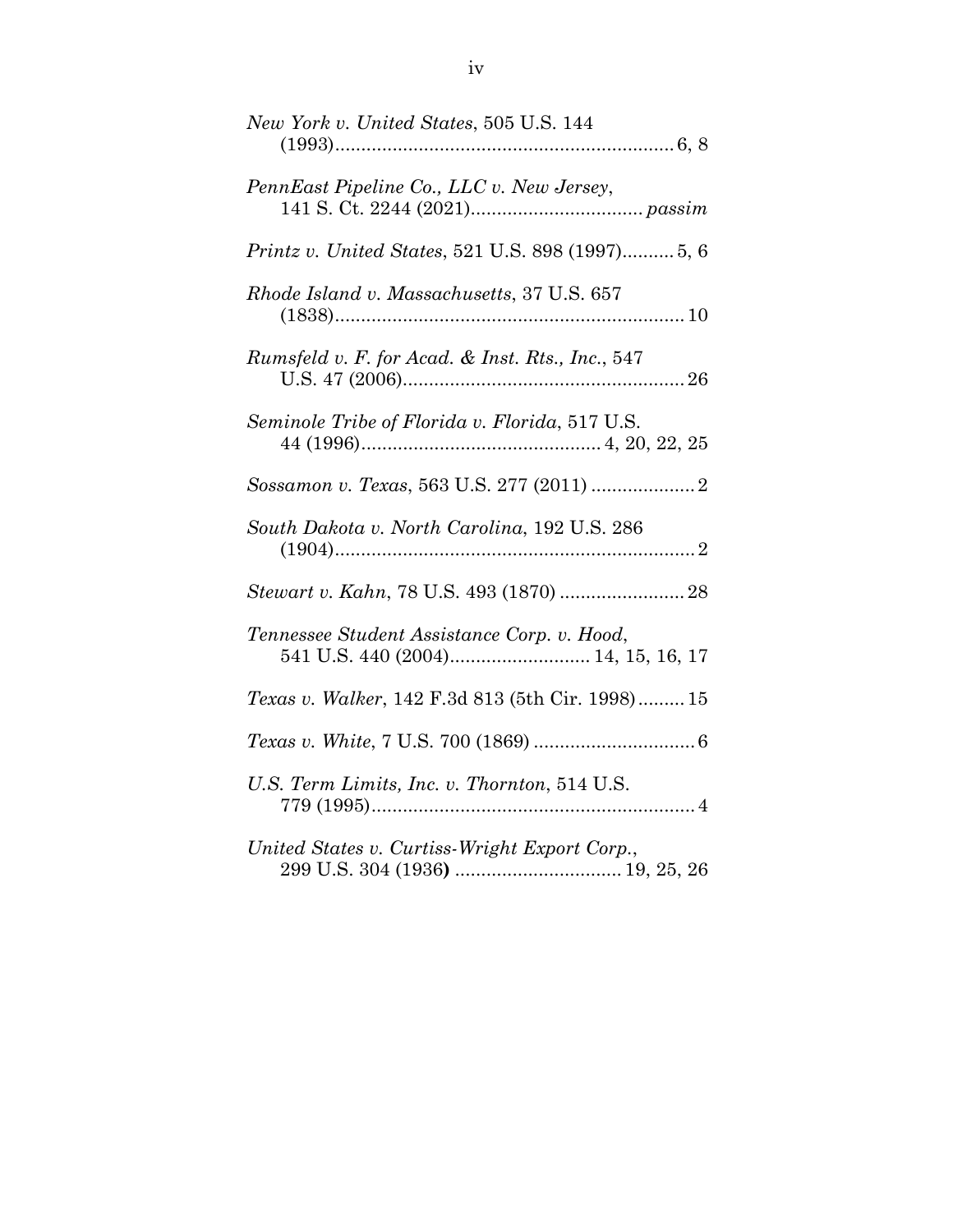| New York v. United States, 505 U.S. 144                 |
|---------------------------------------------------------|
| PennEast Pipeline Co., LLC v. New Jersey,               |
| <i>Printz v. United States, 521 U.S. 898 (1997)5, 6</i> |
| Rhode Island v. Massachusetts, 37 U.S. 657              |
| Rumsfeld v. F. for Acad. & Inst. Rts., Inc., 547        |
| Seminole Tribe of Florida v. Florida, 517 U.S.          |
|                                                         |
| South Dakota v. North Carolina, 192 U.S. 286            |
|                                                         |
| Tennessee Student Assistance Corp. v. Hood,             |
| Texas v. Walker, 142 F.3d 813 (5th Cir. 1998) 15        |
|                                                         |
| U.S. Term Limits, Inc. v. Thornton, 514 U.S.            |
| United States v. Curtiss-Wright Export Corp.,           |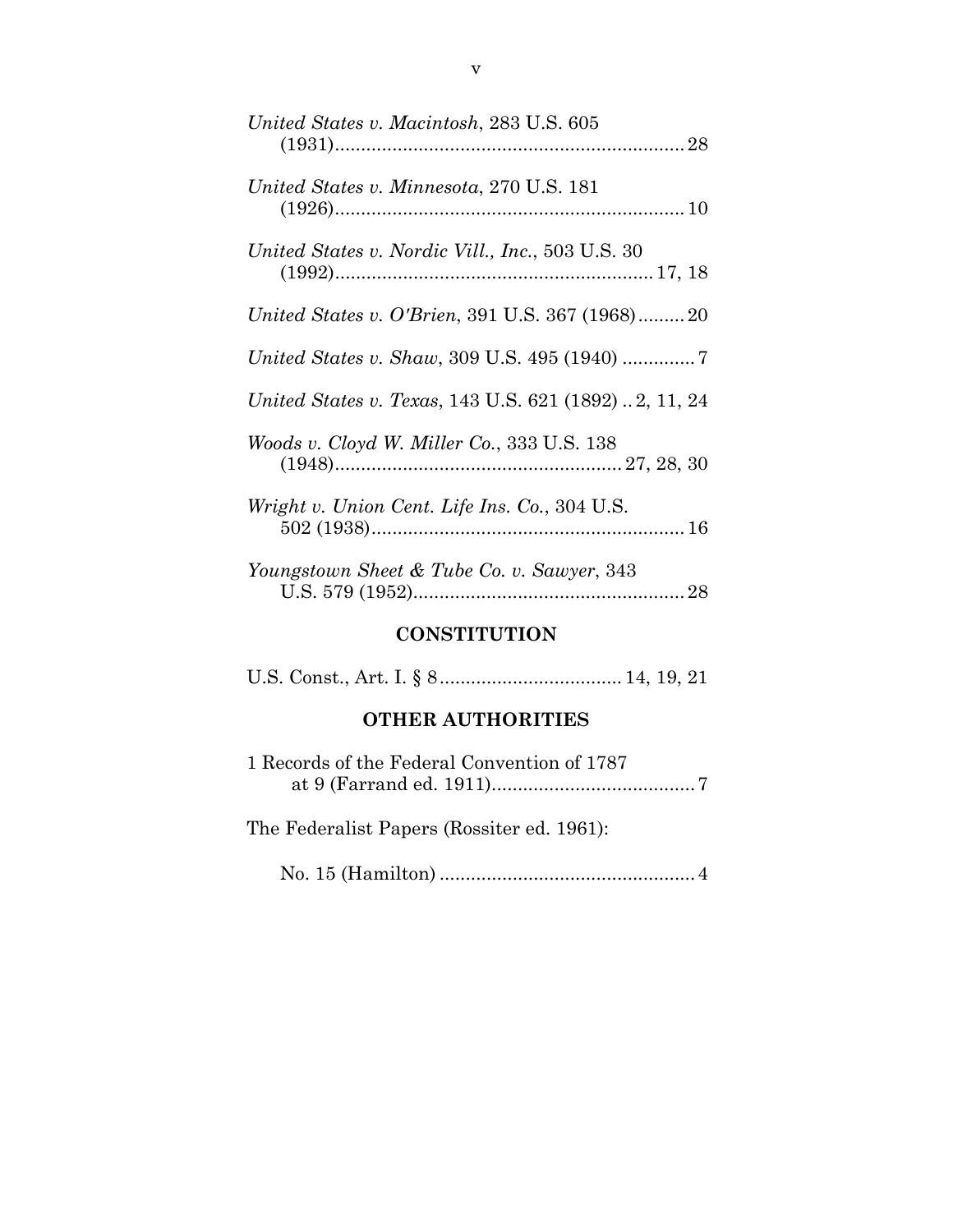| United States v. Macintosh, 283 U.S. 605               |
|--------------------------------------------------------|
| United States v. Minnesota, 270 U.S. 181               |
| United States v. Nordic Vill., Inc., 503 U.S. 30       |
| <i>United States v. O'Brien, 391 U.S. 367 (1968)20</i> |
| <i>United States v. Shaw, 309 U.S. 495 (1940) </i> 7   |
| United States v. Texas, 143 U.S. 621 (1892)2, 11, 24   |
| Woods v. Cloyd W. Miller Co., 333 U.S. 138             |
| Wright v. Union Cent. Life Ins. Co., 304 U.S.          |
| Youngstown Sheet & Tube Co. v. Sawyer, 343             |

### **CONSTITUTION**

### **OTHER AUTHORITIES**

| 1 Records of the Federal Convention of 1787 |
|---------------------------------------------|
| The Federalist Papers (Rossiter ed. 1961):  |
|                                             |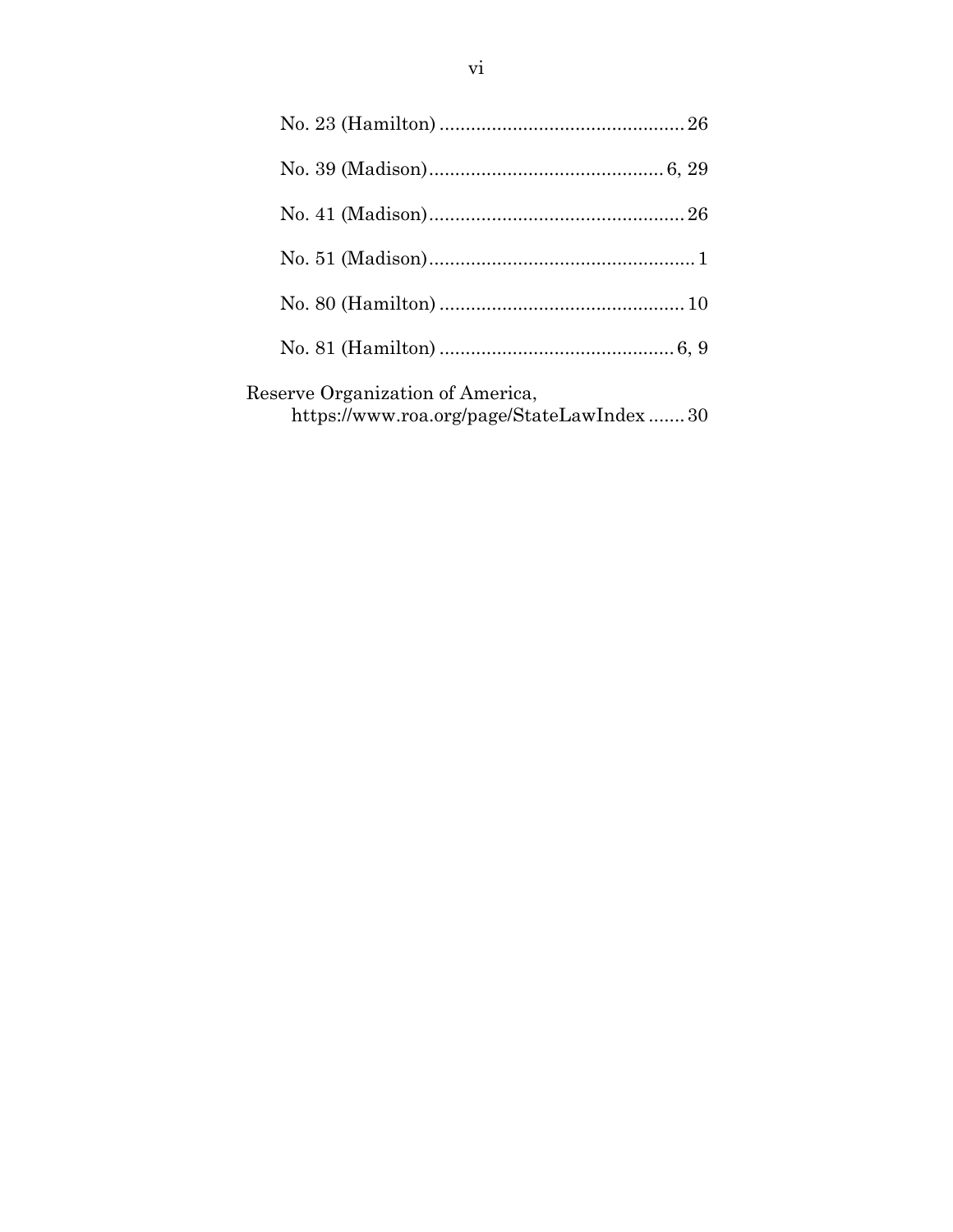| Reserve Organization of America,<br>https://www.roa.org/page/StateLawIndex30 |  |
|------------------------------------------------------------------------------|--|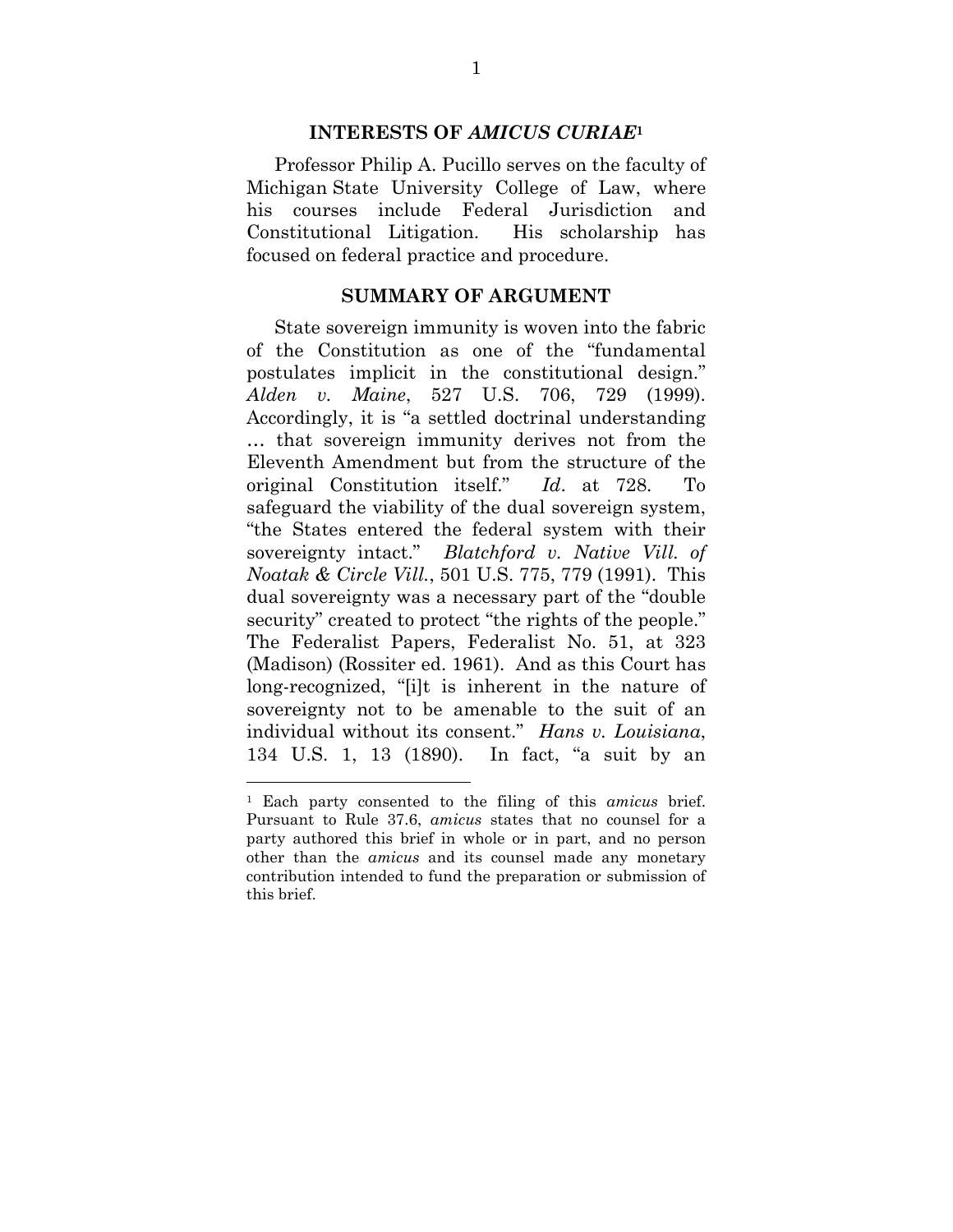#### **INTERESTS OF** *AMICUS CURIAE***<sup>1</sup>**

Professor Philip A. Pucillo serves on the faculty of Michigan State University College of Law, where his courses include Federal Jurisdiction and Constitutional Litigation. His scholarship has focused on federal practice and procedure.

#### **SUMMARY OF ARGUMENT**

State sovereign immunity is woven into the fabric of the Constitution as one of the "fundamental postulates implicit in the constitutional design." *Alden v. Maine*, 527 U.S. 706, 729 (1999). Accordingly, it is "a settled doctrinal understanding … that sovereign immunity derives not from the Eleventh Amendment but from the structure of the original Constitution itself." *Id*. at 728. To safeguard the viability of the dual sovereign system, "the States entered the federal system with their sovereignty intact." *Blatchford v. Native Vill. of Noatak & Circle Vill.*, 501 U.S. 775, 779 (1991). This dual sovereignty was a necessary part of the "double security" created to protect "the rights of the people." The Federalist Papers, Federalist No. 51, at 323 (Madison) (Rossiter ed. 1961). And as this Court has long-recognized, "[i]t is inherent in the nature of sovereignty not to be amenable to the suit of an individual without its consent." *Hans v. Louisiana*, 134 U.S. 1, 13 (1890). In fact, "a suit by an

 $\overline{a}$ 

<sup>1</sup> Each party consented to the filing of this *amicus* brief. Pursuant to Rule 37.6, *amicus* states that no counsel for a party authored this brief in whole or in part, and no person other than the *amicus* and its counsel made any monetary contribution intended to fund the preparation or submission of this brief.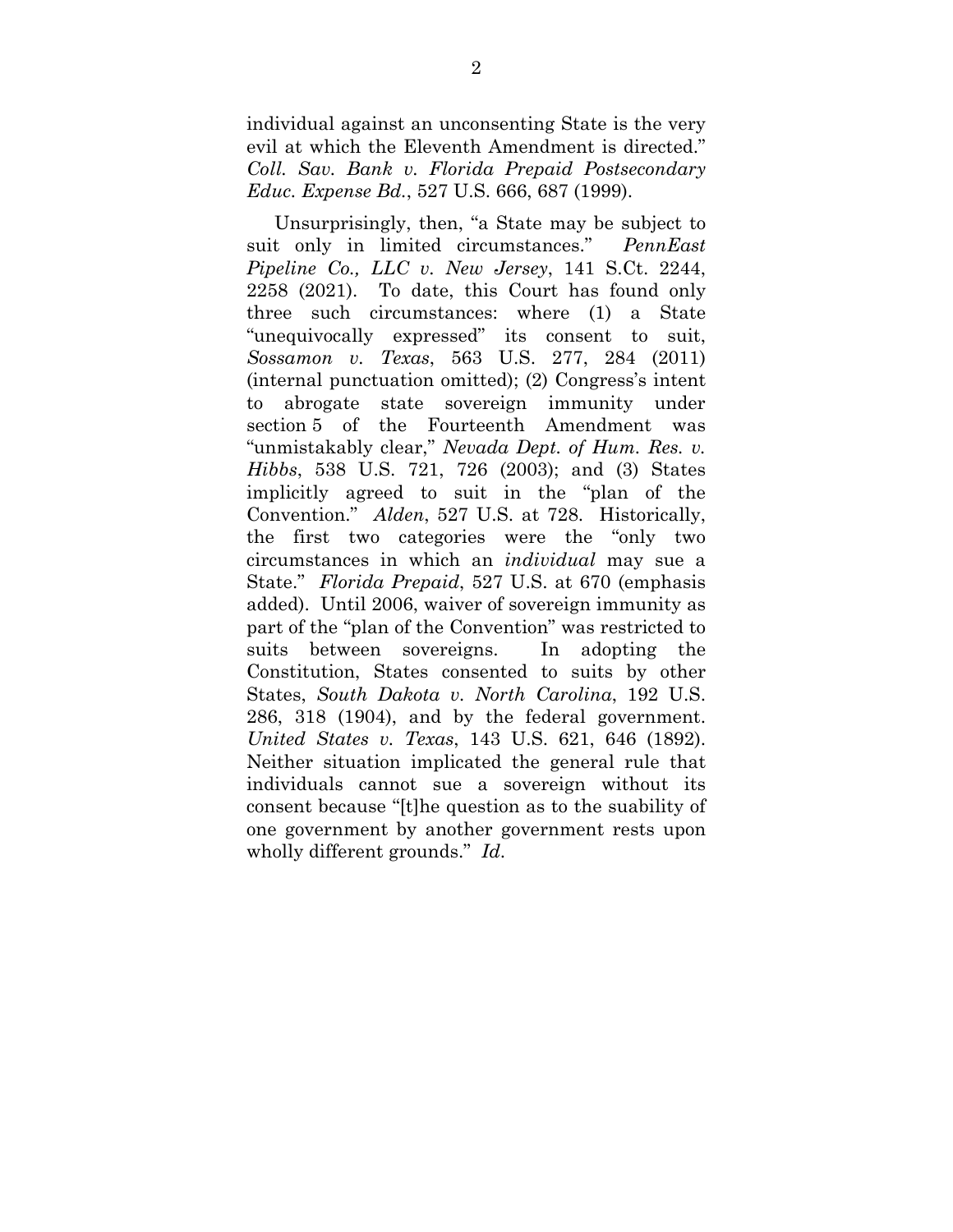individual against an unconsenting State is the very evil at which the Eleventh Amendment is directed." *Coll. Sav. Bank v. Florida Prepaid Postsecondary Educ. Expense Bd.*, 527 U.S. 666, 687 (1999).

Unsurprisingly, then, "a State may be subject to suit only in limited circumstances." *PennEast Pipeline Co., LLC v. New Jersey*, 141 S.Ct. 2244, 2258 (2021). To date, this Court has found only three such circumstances: where (1) a State "unequivocally expressed" its consent to suit, *Sossamon v. Texas*, 563 U.S. 277, 284 (2011) (internal punctuation omitted); (2) Congress's intent to abrogate state sovereign immunity under section 5 of the Fourteenth Amendment was "unmistakably clear," *Nevada Dept. of Hum. Res. v. Hibbs*, 538 U.S. 721, 726 (2003); and (3) States implicitly agreed to suit in the "plan of the Convention." *Alden*, 527 U.S. at 728. Historically, the first two categories were the "only two circumstances in which an *individual* may sue a State." *Florida Prepaid*, 527 U.S. at 670 (emphasis added). Until 2006, waiver of sovereign immunity as part of the "plan of the Convention" was restricted to suits between sovereigns. In adopting the Constitution, States consented to suits by other States, *South Dakota v. North Carolina*, 192 U.S. 286, 318 (1904), and by the federal government. *United States v. Texas*, 143 U.S. 621, 646 (1892). Neither situation implicated the general rule that individuals cannot sue a sovereign without its consent because "[t]he question as to the suability of one government by another government rests upon wholly different grounds." *Id*.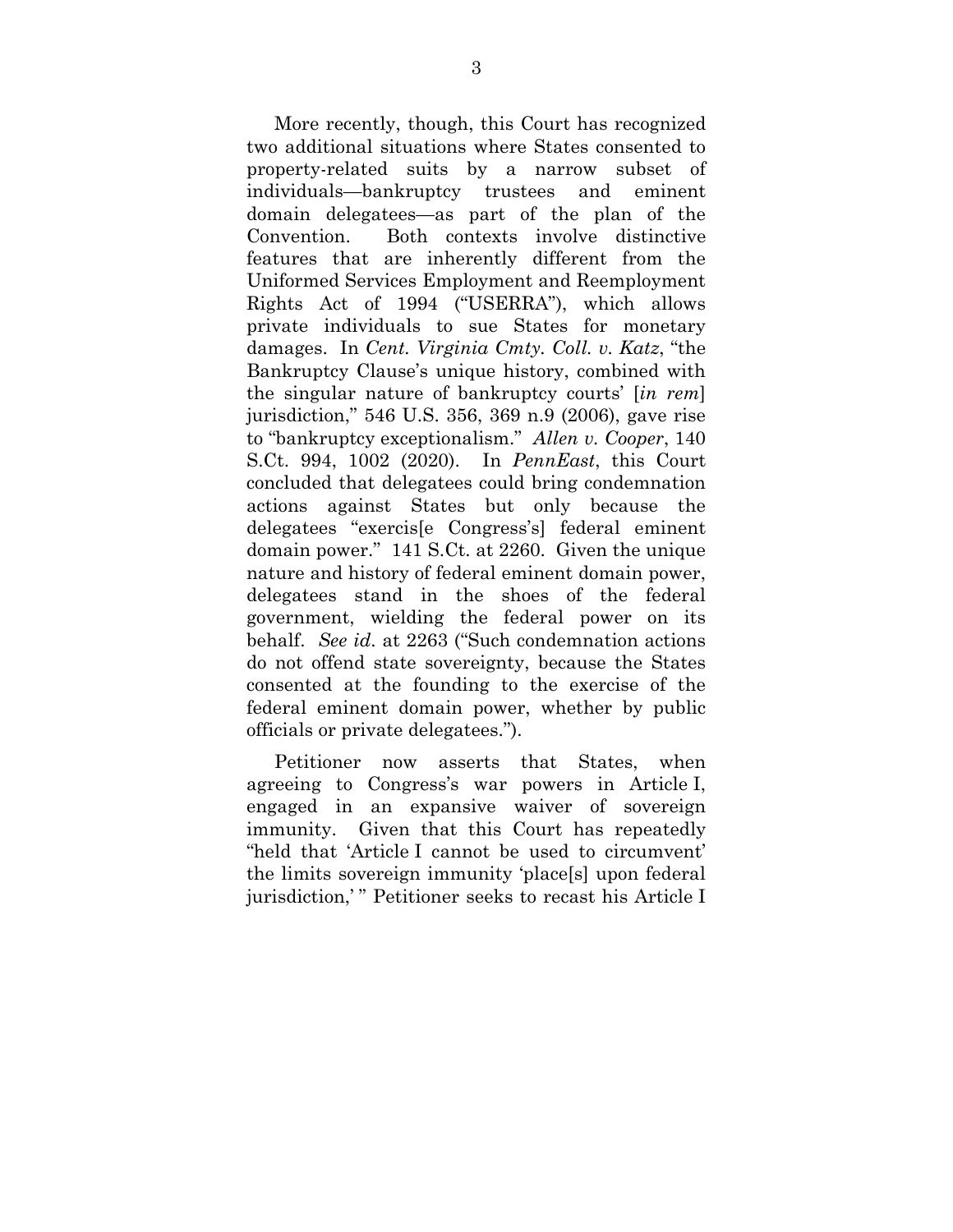More recently, though, this Court has recognized two additional situations where States consented to property-related suits by a narrow subset of individuals—bankruptcy trustees and eminent domain delegatees—as part of the plan of the Convention. Both contexts involve distinctive features that are inherently different from the Uniformed Services Employment and Reemployment Rights Act of 1994 ("USERRA"), which allows private individuals to sue States for monetary damages. In *Cent. Virginia Cmty. Coll. v. Katz*, "the Bankruptcy Clause's unique history, combined with the singular nature of bankruptcy courts' [*in rem*] jurisdiction," 546 U.S. 356, 369 n.9 (2006), gave rise to "bankruptcy exceptionalism." *Allen v. Cooper*, 140 S.Ct. 994, 1002 (2020). In *PennEast*, this Court concluded that delegatees could bring condemnation actions against States but only because the delegatees "exercis[e Congress's] federal eminent domain power." 141 S.Ct. at 2260. Given the unique nature and history of federal eminent domain power, delegatees stand in the shoes of the federal government, wielding the federal power on its behalf. *See id*. at 2263 ("Such condemnation actions do not offend state sovereignty, because the States consented at the founding to the exercise of the federal eminent domain power, whether by public officials or private delegatees.").

Petitioner now asserts that States, when agreeing to Congress's war powers in Article I, engaged in an expansive waiver of sovereign immunity. Given that this Court has repeatedly "held that 'Article I cannot be used to circumvent' the limits sovereign immunity 'place[s] upon federal jurisdiction,' " Petitioner seeks to recast his Article I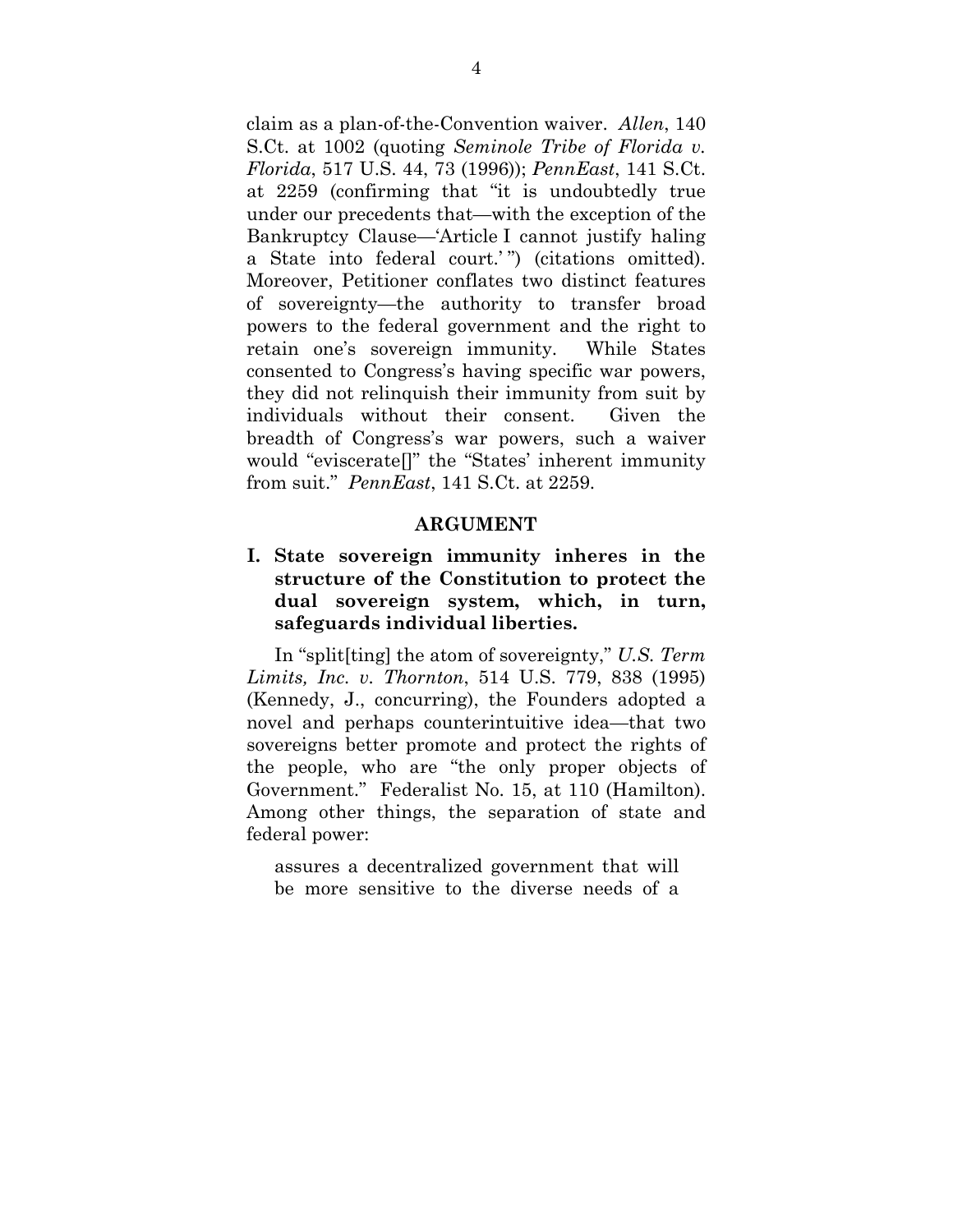claim as a plan-of-the-Convention waiver. *Allen*, 140 S.Ct. at 1002 (quoting *Seminole Tribe of Florida v. Florida*, 517 U.S. 44, 73 (1996)); *PennEast*, 141 S.Ct. at 2259 (confirming that "it is undoubtedly true under our precedents that—with the exception of the Bankruptcy Clause—'Article I cannot justify haling a State into federal court.' ") (citations omitted). Moreover, Petitioner conflates two distinct features of sovereignty—the authority to transfer broad powers to the federal government and the right to retain one's sovereign immunity. While States consented to Congress's having specific war powers, they did not relinquish their immunity from suit by individuals without their consent. Given the breadth of Congress's war powers, such a waiver would "eviscerate[]" the "States' inherent immunity from suit." *PennEast*, 141 S.Ct. at 2259.

#### **ARGUMENT**

### **I. State sovereign immunity inheres in the structure of the Constitution to protect the dual sovereign system, which, in turn, safeguards individual liberties.**

In "split[ting] the atom of sovereignty," *U.S. Term Limits, Inc. v. Thornton*, 514 U.S. 779, 838 (1995) (Kennedy, J., concurring), the Founders adopted a novel and perhaps counterintuitive idea—that two sovereigns better promote and protect the rights of the people, who are "the only proper objects of Government." Federalist No. 15, at 110 (Hamilton). Among other things, the separation of state and federal power:

assures a decentralized government that will be more sensitive to the diverse needs of a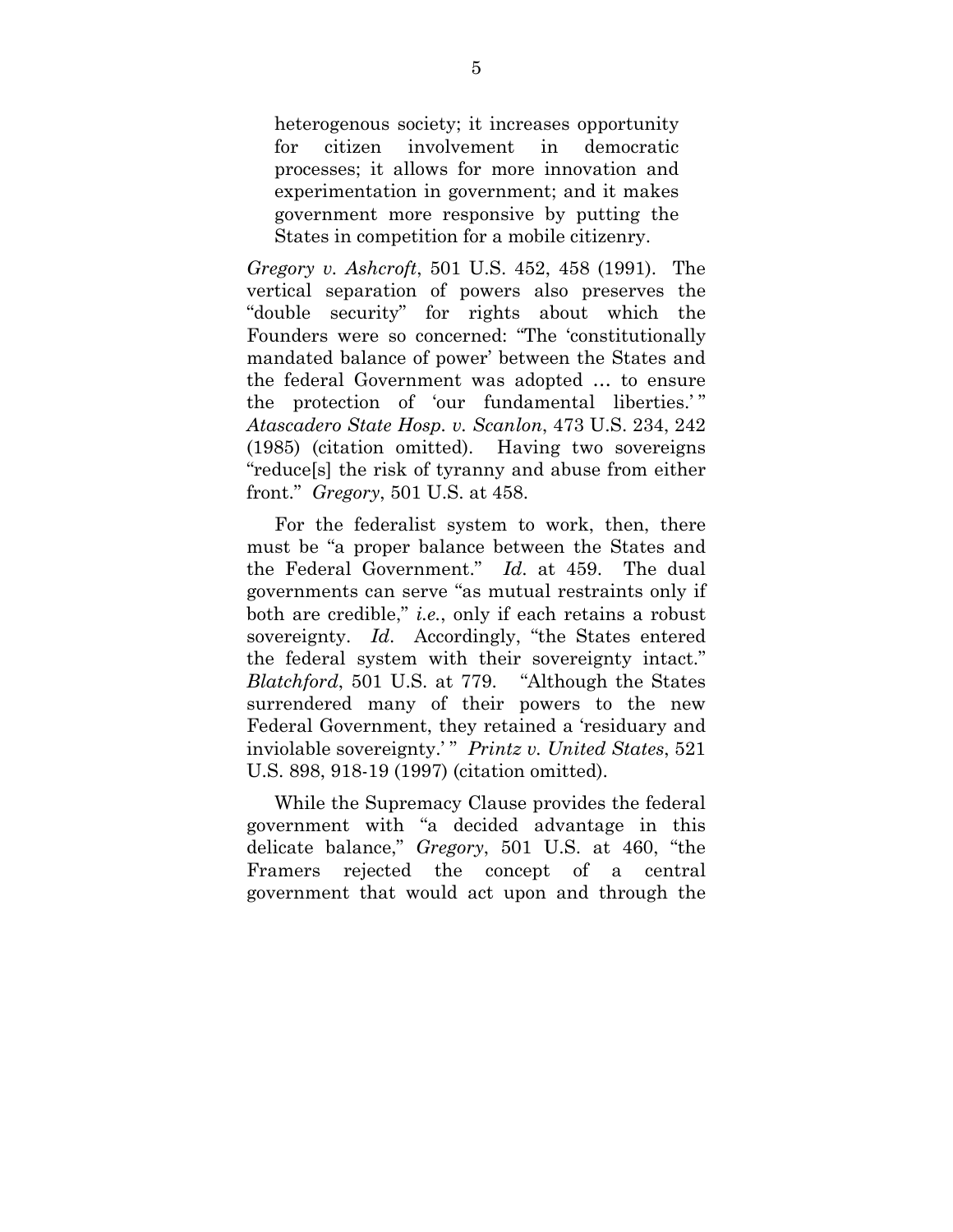heterogenous society; it increases opportunity for citizen involvement in democratic processes; it allows for more innovation and experimentation in government; and it makes government more responsive by putting the States in competition for a mobile citizenry.

*Gregory v. Ashcroft*, 501 U.S. 452, 458 (1991). The vertical separation of powers also preserves the "double security" for rights about which the Founders were so concerned: "The 'constitutionally mandated balance of power' between the States and the federal Government was adopted … to ensure the protection of 'our fundamental liberties.' " *Atascadero State Hosp. v. Scanlon*, 473 U.S. 234, 242 (1985) (citation omitted). Having two sovereigns "reduce[s] the risk of tyranny and abuse from either front." *Gregory*, 501 U.S. at 458.

For the federalist system to work, then, there must be "a proper balance between the States and the Federal Government." *Id*. at 459. The dual governments can serve "as mutual restraints only if both are credible," *i.e.*, only if each retains a robust sovereignty. *Id*. Accordingly, "the States entered the federal system with their sovereignty intact." *Blatchford*, 501 U.S. at 779. "Although the States surrendered many of their powers to the new Federal Government, they retained a 'residuary and inviolable sovereignty.' " *Printz v. United States*, 521 U.S. 898, 918-19 (1997) (citation omitted).

While the Supremacy Clause provides the federal government with "a decided advantage in this delicate balance," *Gregory*, 501 U.S. at 460, "the Framers rejected the concept of a central government that would act upon and through the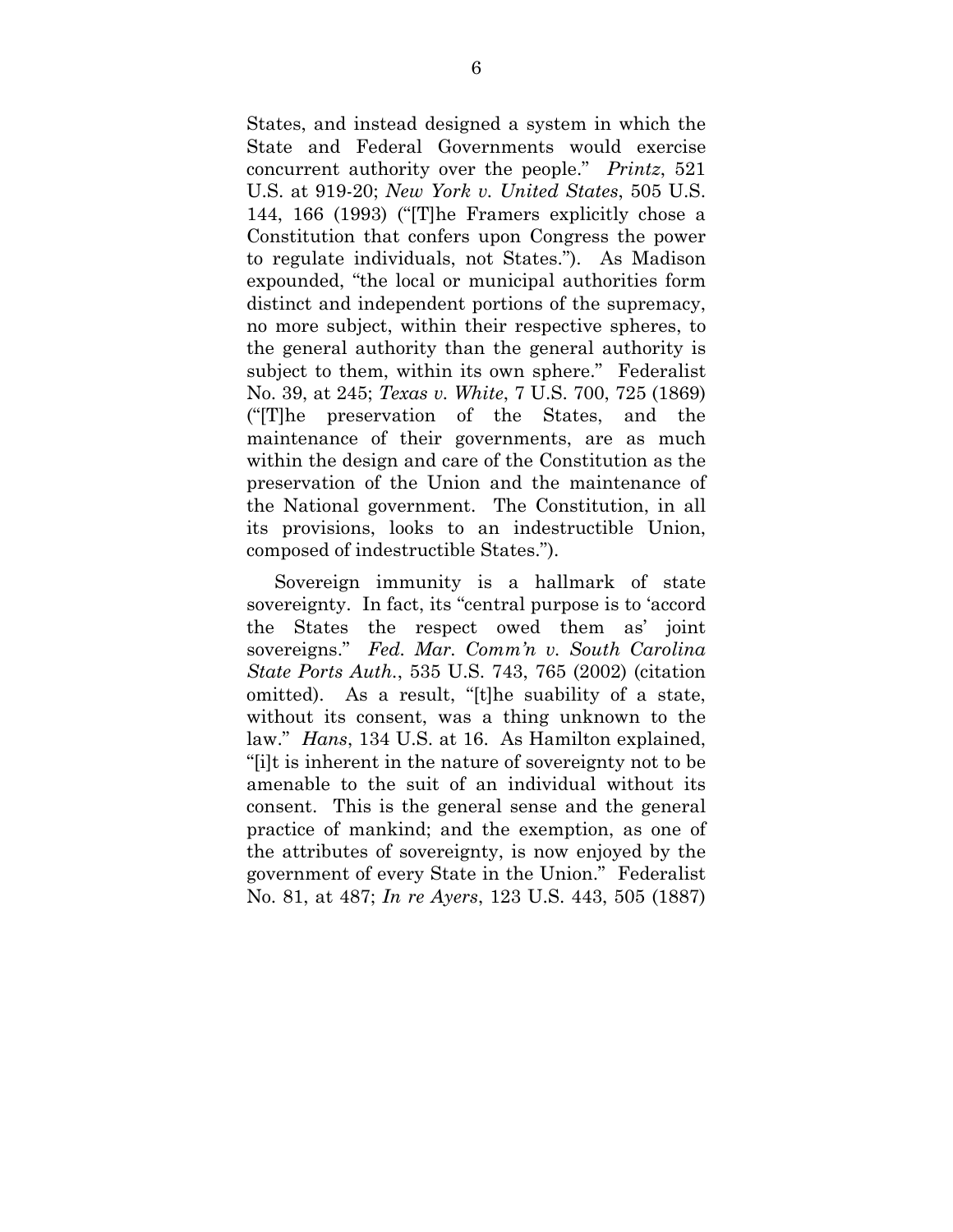States, and instead designed a system in which the State and Federal Governments would exercise concurrent authority over the people." *Printz*, 521 U.S. at 919-20; *New York v. United States*, 505 U.S. 144, 166 (1993) ("[T]he Framers explicitly chose a Constitution that confers upon Congress the power to regulate individuals, not States."). As Madison expounded, "the local or municipal authorities form distinct and independent portions of the supremacy, no more subject, within their respective spheres, to the general authority than the general authority is subject to them, within its own sphere." Federalist No. 39, at 245; *Texas v. White*, 7 U.S. 700, 725 (1869) ("[T]he preservation of the States, and the maintenance of their governments, are as much within the design and care of the Constitution as the preservation of the Union and the maintenance of the National government. The Constitution, in all its provisions, looks to an indestructible Union, composed of indestructible States.").

Sovereign immunity is a hallmark of state sovereignty. In fact, its "central purpose is to 'accord the States the respect owed them as' joint sovereigns." *Fed. Mar. Comm'n v. South Carolina State Ports Auth.*, 535 U.S. 743, 765 (2002) (citation omitted). As a result, "[t]he suability of a state, without its consent, was a thing unknown to the law." *Hans*, 134 U.S. at 16. As Hamilton explained, "[i]t is inherent in the nature of sovereignty not to be amenable to the suit of an individual without its consent. This is the general sense and the general practice of mankind; and the exemption, as one of the attributes of sovereignty, is now enjoyed by the government of every State in the Union." Federalist No. 81, at 487; *In re Ayers*, 123 U.S. 443, 505 (1887)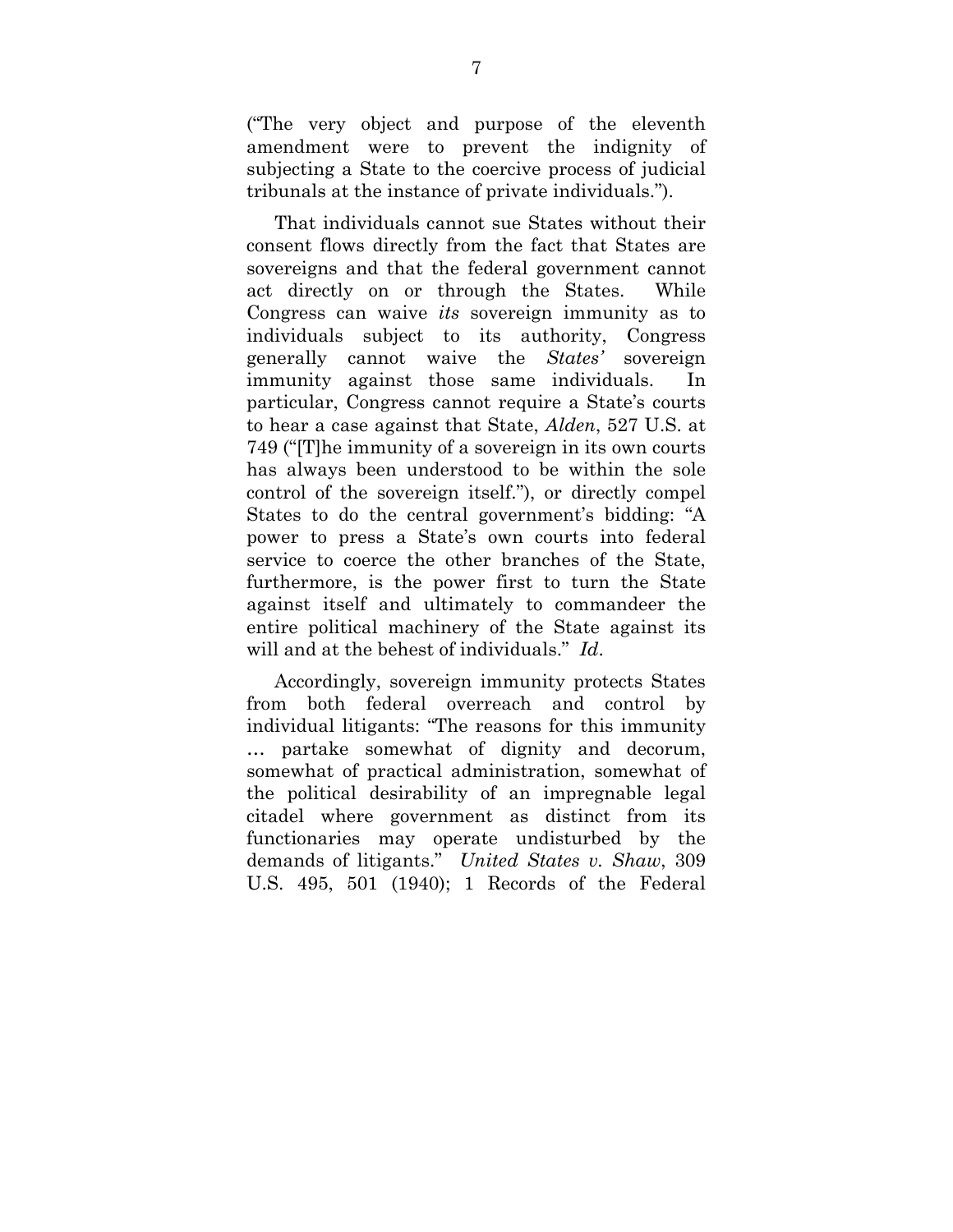("The very object and purpose of the eleventh amendment were to prevent the indignity of subjecting a State to the coercive process of judicial tribunals at the instance of private individuals.").

That individuals cannot sue States without their consent flows directly from the fact that States are sovereigns and that the federal government cannot act directly on or through the States. While Congress can waive *its* sovereign immunity as to individuals subject to its authority, Congress generally cannot waive the *States'* sovereign immunity against those same individuals. In particular, Congress cannot require a State's courts to hear a case against that State, *Alden*, 527 U.S. at 749 ("[T]he immunity of a sovereign in its own courts has always been understood to be within the sole control of the sovereign itself."), or directly compel States to do the central government's bidding: "A power to press a State's own courts into federal service to coerce the other branches of the State, furthermore, is the power first to turn the State against itself and ultimately to commandeer the entire political machinery of the State against its will and at the behest of individuals." *Id*.

Accordingly, sovereign immunity protects States from both federal overreach and control by individual litigants: "The reasons for this immunity … partake somewhat of dignity and decorum, somewhat of practical administration, somewhat of the political desirability of an impregnable legal citadel where government as distinct from its functionaries may operate undisturbed by the demands of litigants." *United States v. Shaw*, 309 U.S. 495, 501 (1940); 1 Records of the Federal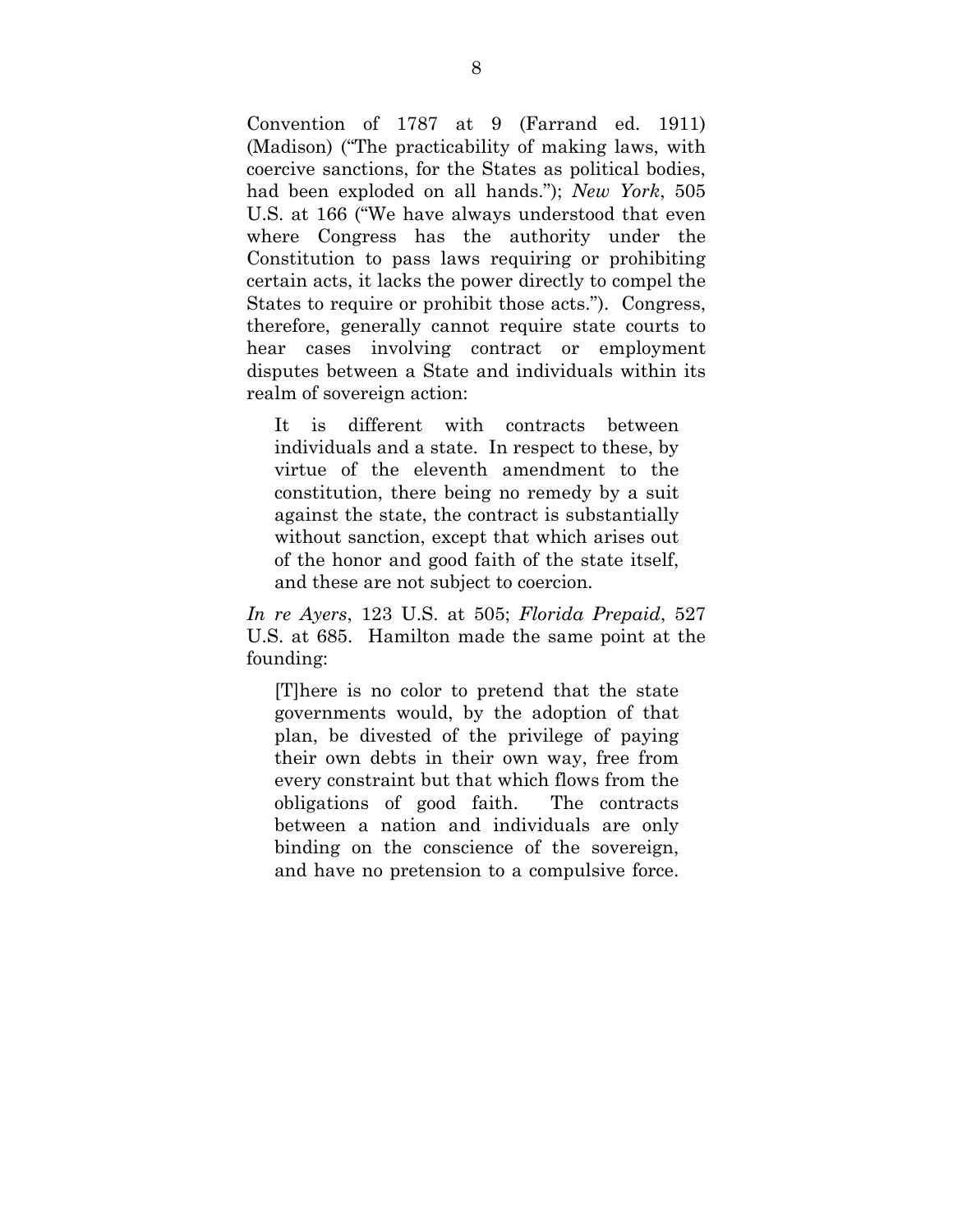Convention of 1787 at 9 (Farrand ed. 1911) (Madison) ("The practicability of making laws, with coercive sanctions, for the States as political bodies, had been exploded on all hands."); *New York*, 505 U.S. at 166 ("We have always understood that even where Congress has the authority under the Constitution to pass laws requiring or prohibiting certain acts, it lacks the power directly to compel the States to require or prohibit those acts."). Congress, therefore, generally cannot require state courts to hear cases involving contract or employment disputes between a State and individuals within its realm of sovereign action:

It is different with contracts between individuals and a state. In respect to these, by virtue of the eleventh amendment to the constitution, there being no remedy by a suit against the state, the contract is substantially without sanction, except that which arises out of the honor and good faith of the state itself, and these are not subject to coercion.

*In re Ayers*, 123 U.S. at 505; *Florida Prepaid*, 527 U.S. at 685. Hamilton made the same point at the founding:

[T]here is no color to pretend that the state governments would, by the adoption of that plan, be divested of the privilege of paying their own debts in their own way, free from every constraint but that which flows from the obligations of good faith. The contracts between a nation and individuals are only binding on the conscience of the sovereign, and have no pretension to a compulsive force.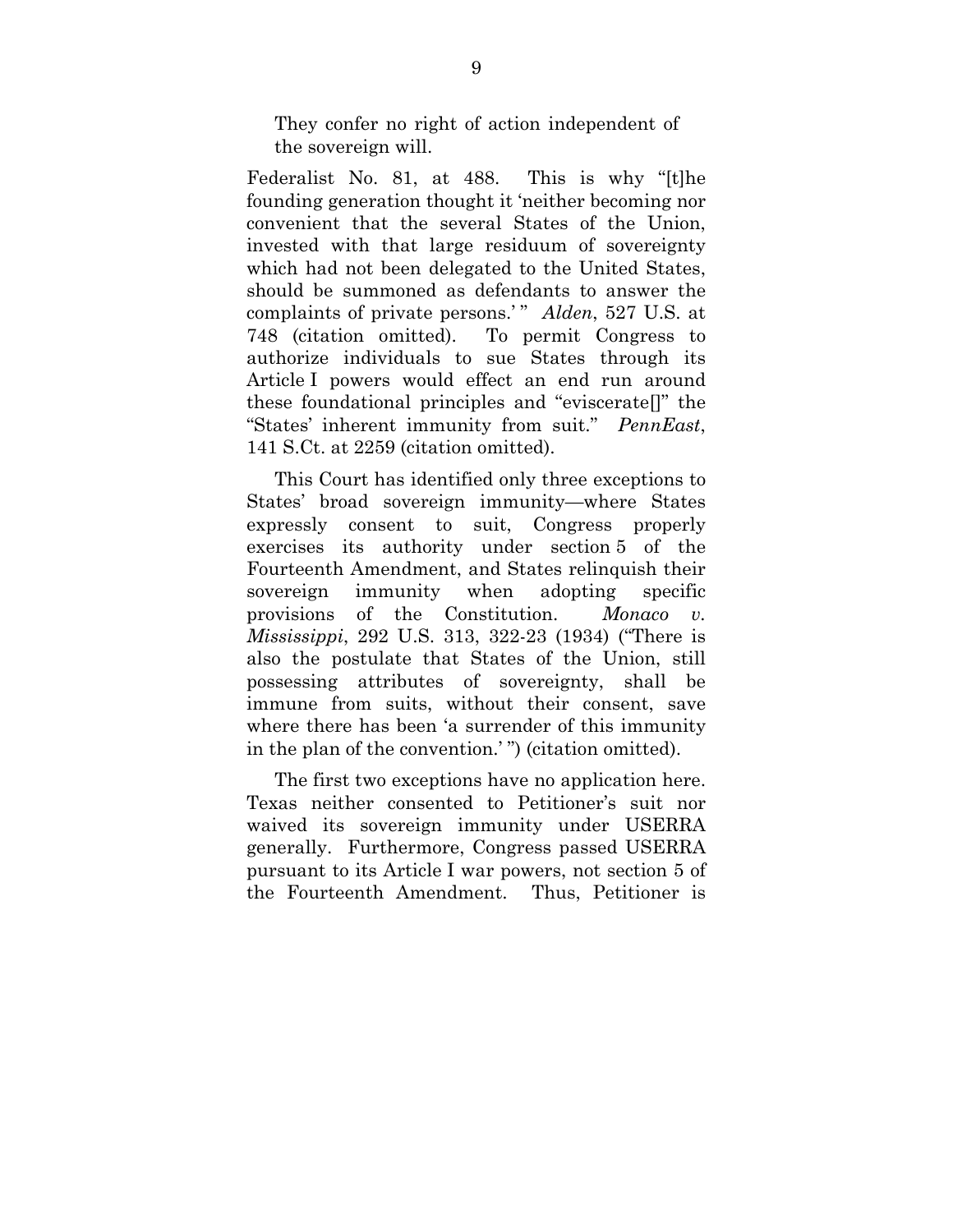They confer no right of action independent of the sovereign will.

Federalist No. 81, at 488. This is why "[t]he founding generation thought it 'neither becoming nor convenient that the several States of the Union, invested with that large residuum of sovereignty which had not been delegated to the United States, should be summoned as defendants to answer the complaints of private persons.'" *Alden*, 527 U.S. at 748 (citation omitted). To permit Congress to authorize individuals to sue States through its Article I powers would effect an end run around these foundational principles and "eviscerate[]" the "States' inherent immunity from suit." *PennEast*, 141 S.Ct. at 2259 (citation omitted).

This Court has identified only three exceptions to States' broad sovereign immunity—where States expressly consent to suit, Congress properly exercises its authority under section 5 of the Fourteenth Amendment, and States relinquish their sovereign immunity when adopting specific provisions of the Constitution. *Monaco v. Mississippi*, 292 U.S. 313, 322-23 (1934) ("There is also the postulate that States of the Union, still possessing attributes of sovereignty, shall be immune from suits, without their consent, save where there has been 'a surrender of this immunity in the plan of the convention.' ") (citation omitted).

The first two exceptions have no application here. Texas neither consented to Petitioner's suit nor waived its sovereign immunity under USERRA generally. Furthermore, Congress passed USERRA pursuant to its Article I war powers, not section 5 of the Fourteenth Amendment. Thus, Petitioner is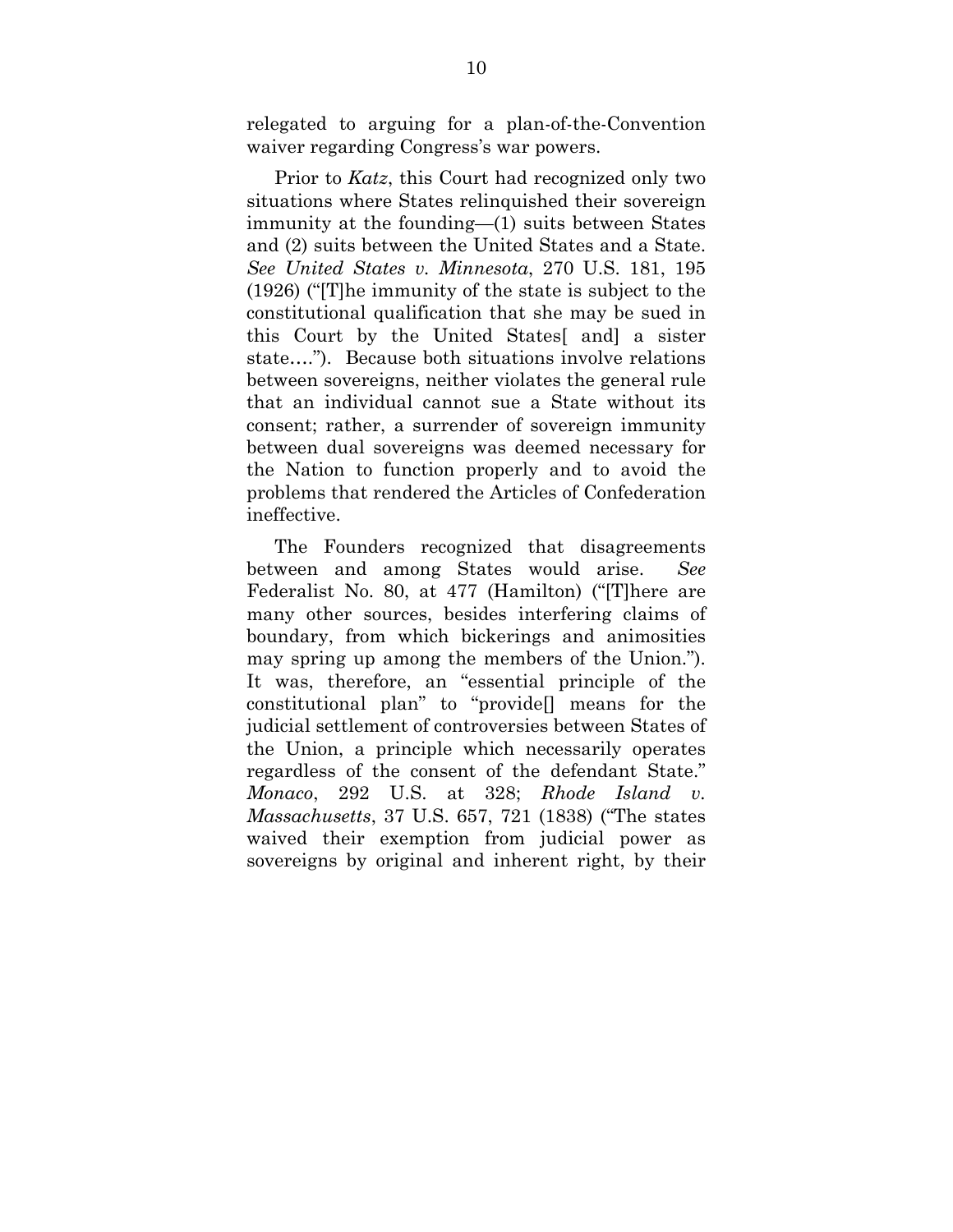relegated to arguing for a plan-of-the-Convention waiver regarding Congress's war powers.

Prior to *Katz*, this Court had recognized only two situations where States relinquished their sovereign immunity at the founding—(1) suits between States and (2) suits between the United States and a State. *See United States v. Minnesota*, 270 U.S. 181, 195 (1926) ("[T]he immunity of the state is subject to the constitutional qualification that she may be sued in this Court by the United States[ and] a sister state…."). Because both situations involve relations between sovereigns, neither violates the general rule that an individual cannot sue a State without its consent; rather, a surrender of sovereign immunity between dual sovereigns was deemed necessary for the Nation to function properly and to avoid the problems that rendered the Articles of Confederation ineffective.

The Founders recognized that disagreements between and among States would arise. *See* Federalist No. 80, at 477 (Hamilton) ("[T]here are many other sources, besides interfering claims of boundary, from which bickerings and animosities may spring up among the members of the Union."). It was, therefore, an "essential principle of the constitutional plan" to "provide[] means for the judicial settlement of controversies between States of the Union, a principle which necessarily operates regardless of the consent of the defendant State." *Monaco*, 292 U.S. at 328; *Rhode Island v. Massachusetts*, 37 U.S. 657, 721 (1838) ("The states waived their exemption from judicial power as sovereigns by original and inherent right, by their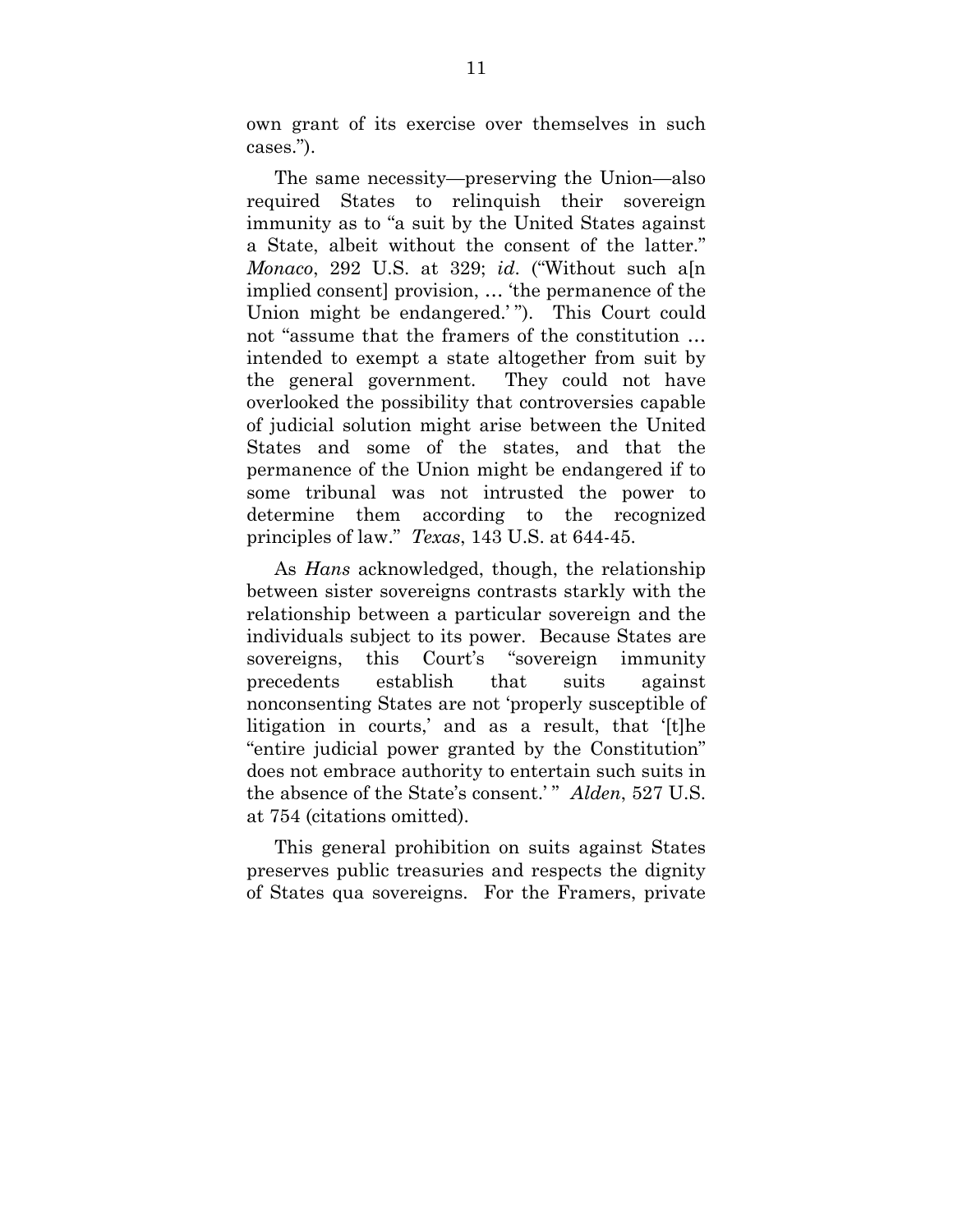own grant of its exercise over themselves in such cases.").

The same necessity—preserving the Union—also required States to relinquish their sovereign immunity as to "a suit by the United States against a State, albeit without the consent of the latter." *Monaco*, 292 U.S. at 329; *id*. ("Without such a[n implied consent] provision, … 'the permanence of the Union might be endangered.' "). This Court could not "assume that the framers of the constitution … intended to exempt a state altogether from suit by the general government. They could not have overlooked the possibility that controversies capable of judicial solution might arise between the United States and some of the states, and that the permanence of the Union might be endangered if to some tribunal was not intrusted the power to determine them according to the recognized principles of law." *Texas*, 143 U.S. at 644-45.

As *Hans* acknowledged, though, the relationship between sister sovereigns contrasts starkly with the relationship between a particular sovereign and the individuals subject to its power. Because States are sovereigns, this Court's "sovereign immunity precedents establish that suits against nonconsenting States are not 'properly susceptible of litigation in courts,' and as a result, that '[t]he "entire judicial power granted by the Constitution" does not embrace authority to entertain such suits in the absence of the State's consent.' " *Alden*, 527 U.S. at 754 (citations omitted).

This general prohibition on suits against States preserves public treasuries and respects the dignity of States qua sovereigns. For the Framers, private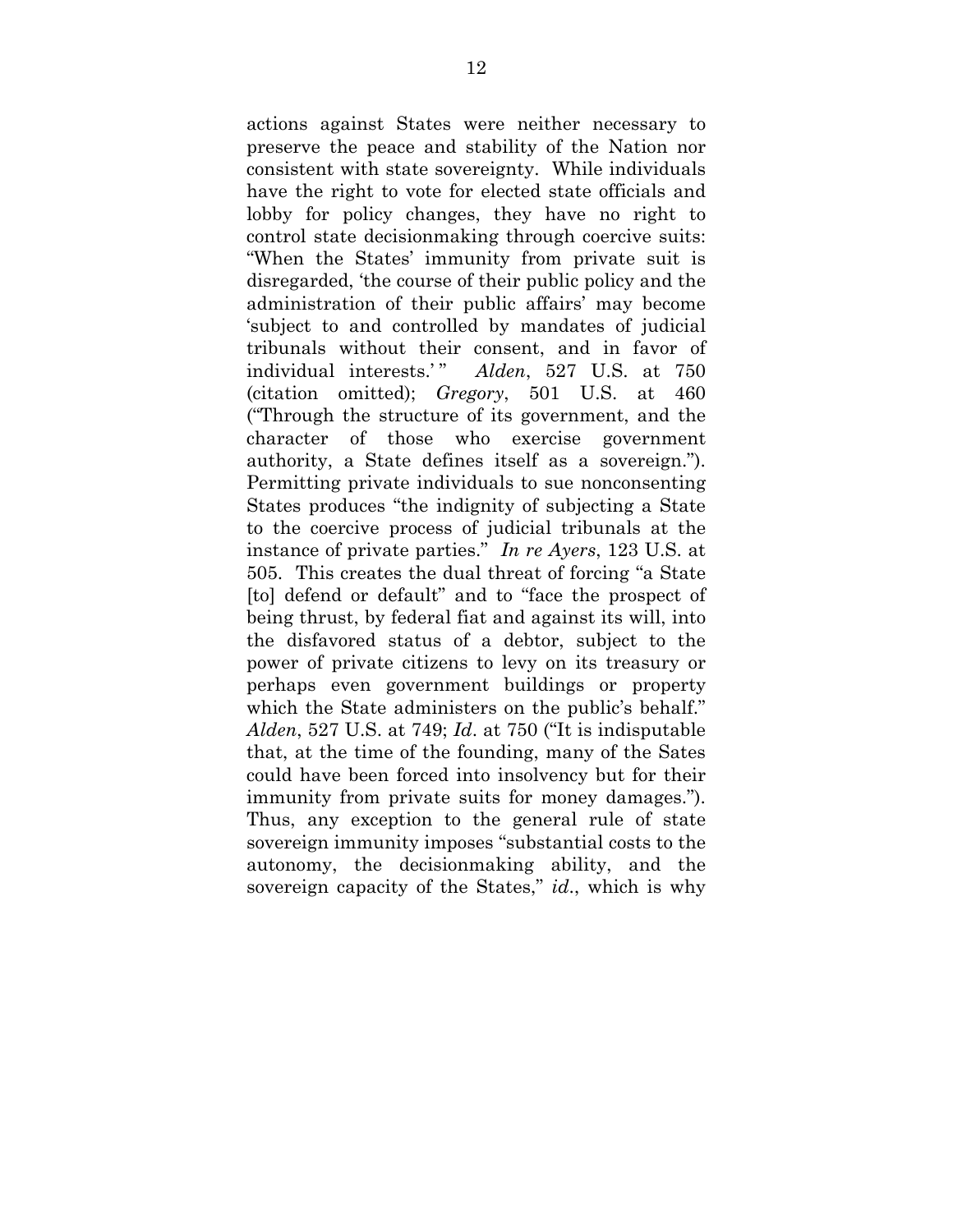actions against States were neither necessary to preserve the peace and stability of the Nation nor consistent with state sovereignty. While individuals have the right to vote for elected state officials and lobby for policy changes, they have no right to control state decisionmaking through coercive suits: "When the States' immunity from private suit is disregarded, 'the course of their public policy and the administration of their public affairs' may become 'subject to and controlled by mandates of judicial tribunals without their consent, and in favor of individual interests.'" Alden, 527 U.S. at 750 (citation omitted); *Gregory*, 501 U.S. at 460 ("Through the structure of its government, and the character of those who exercise government authority, a State defines itself as a sovereign."). Permitting private individuals to sue nonconsenting States produces "the indignity of subjecting a State to the coercive process of judicial tribunals at the instance of private parties." *In re Ayers*, 123 U.S. at 505. This creates the dual threat of forcing "a State [to] defend or default" and to "face the prospect of being thrust, by federal fiat and against its will, into the disfavored status of a debtor, subject to the power of private citizens to levy on its treasury or perhaps even government buildings or property which the State administers on the public's behalf." *Alden*, 527 U.S. at 749; *Id*. at 750 ("It is indisputable that, at the time of the founding, many of the Sates could have been forced into insolvency but for their immunity from private suits for money damages."). Thus, any exception to the general rule of state sovereign immunity imposes "substantial costs to the autonomy, the decisionmaking ability, and the sovereign capacity of the States," *id*., which is why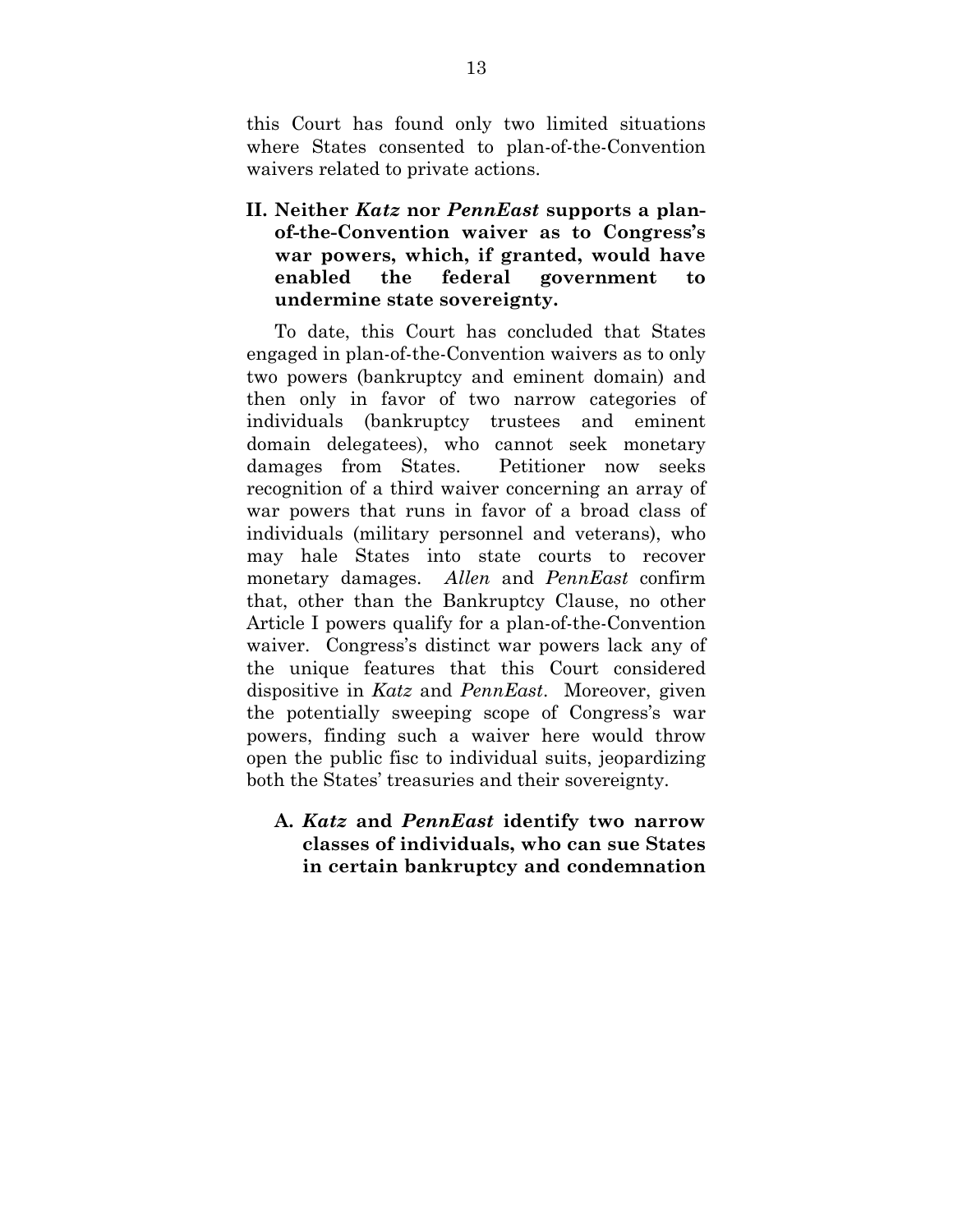this Court has found only two limited situations where States consented to plan-of-the-Convention waivers related to private actions.

**II. Neither** *Katz* **nor** *PennEast* **supports a planof-the-Convention waiver as to Congress's war powers, which, if granted, would have enabled the federal government to undermine state sovereignty.** 

To date, this Court has concluded that States engaged in plan-of-the-Convention waivers as to only two powers (bankruptcy and eminent domain) and then only in favor of two narrow categories of individuals (bankruptcy trustees and eminent domain delegatees), who cannot seek monetary damages from States. Petitioner now seeks recognition of a third waiver concerning an array of war powers that runs in favor of a broad class of individuals (military personnel and veterans), who may hale States into state courts to recover monetary damages. *Allen* and *PennEast* confirm that, other than the Bankruptcy Clause, no other Article I powers qualify for a plan-of-the-Convention waiver. Congress's distinct war powers lack any of the unique features that this Court considered dispositive in *Katz* and *PennEast*. Moreover, given the potentially sweeping scope of Congress's war powers, finding such a waiver here would throw open the public fisc to individual suits, jeopardizing both the States' treasuries and their sovereignty.

**A.** *Katz* **and** *PennEast* **identify two narrow classes of individuals, who can sue States in certain bankruptcy and condemnation**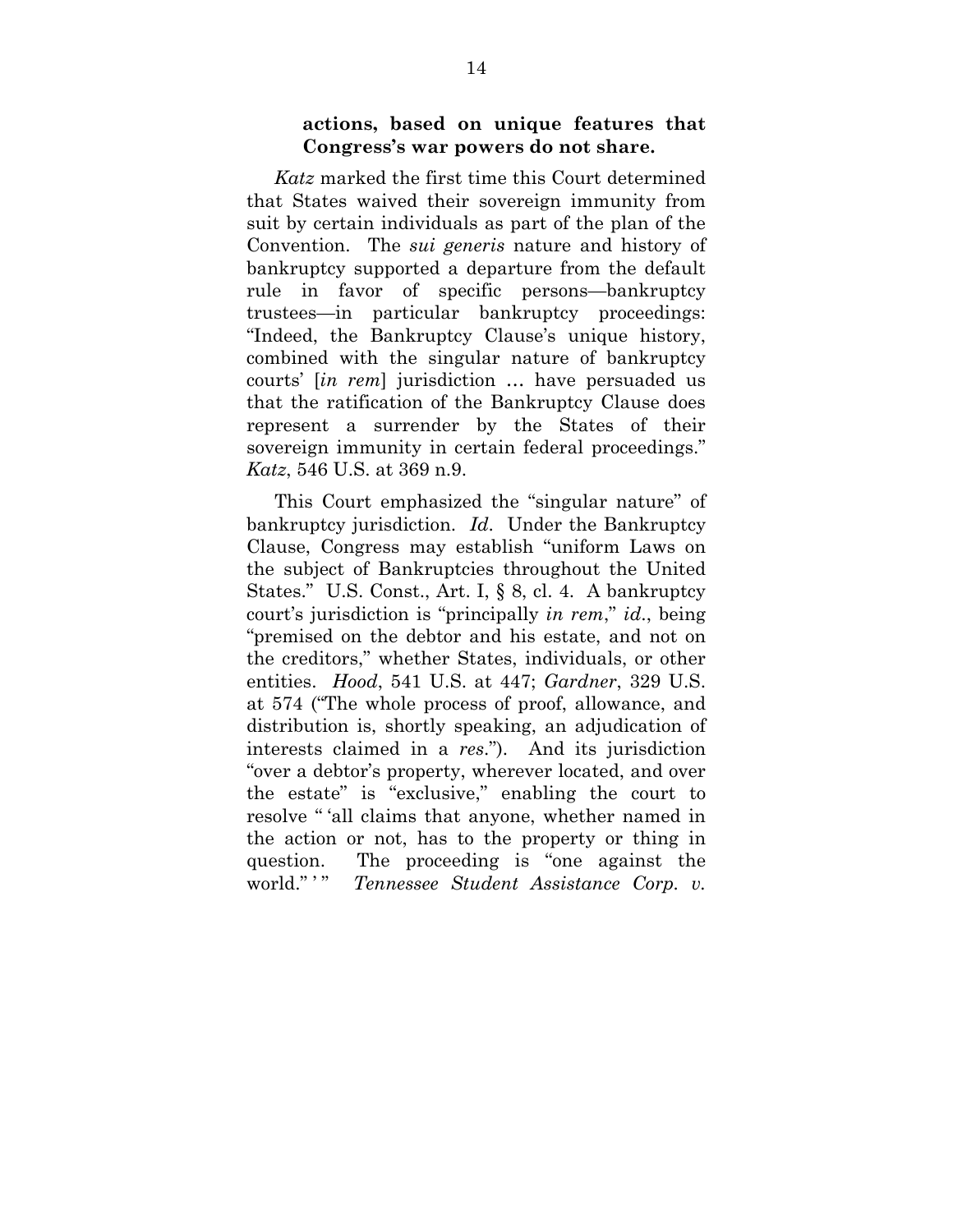### **actions, based on unique features that Congress's war powers do not share.**

*Katz* marked the first time this Court determined that States waived their sovereign immunity from suit by certain individuals as part of the plan of the Convention. The *sui generis* nature and history of bankruptcy supported a departure from the default rule in favor of specific persons—bankruptcy trustees—in particular bankruptcy proceedings: "Indeed, the Bankruptcy Clause's unique history, combined with the singular nature of bankruptcy courts' [*in rem*] jurisdiction … have persuaded us that the ratification of the Bankruptcy Clause does represent a surrender by the States of their sovereign immunity in certain federal proceedings." *Katz*, 546 U.S. at 369 n.9.

This Court emphasized the "singular nature" of bankruptcy jurisdiction. *Id*. Under the Bankruptcy Clause, Congress may establish "uniform Laws on the subject of Bankruptcies throughout the United States." U.S. Const., Art. I, § 8, cl. 4. A bankruptcy court's jurisdiction is "principally *in rem*," *id*., being "premised on the debtor and his estate, and not on the creditors," whether States, individuals, or other entities. *Hood*, 541 U.S. at 447; *Gardner*, 329 U.S. at 574 ("The whole process of proof, allowance, and distribution is, shortly speaking, an adjudication of interests claimed in a *res*."). And its jurisdiction "over a debtor's property, wherever located, and over the estate" is "exclusive," enabling the court to resolve " 'all claims that anyone, whether named in the action or not, has to the property or thing in question. The proceeding is "one against the world." " Tennessee Student Assistance Corp. v.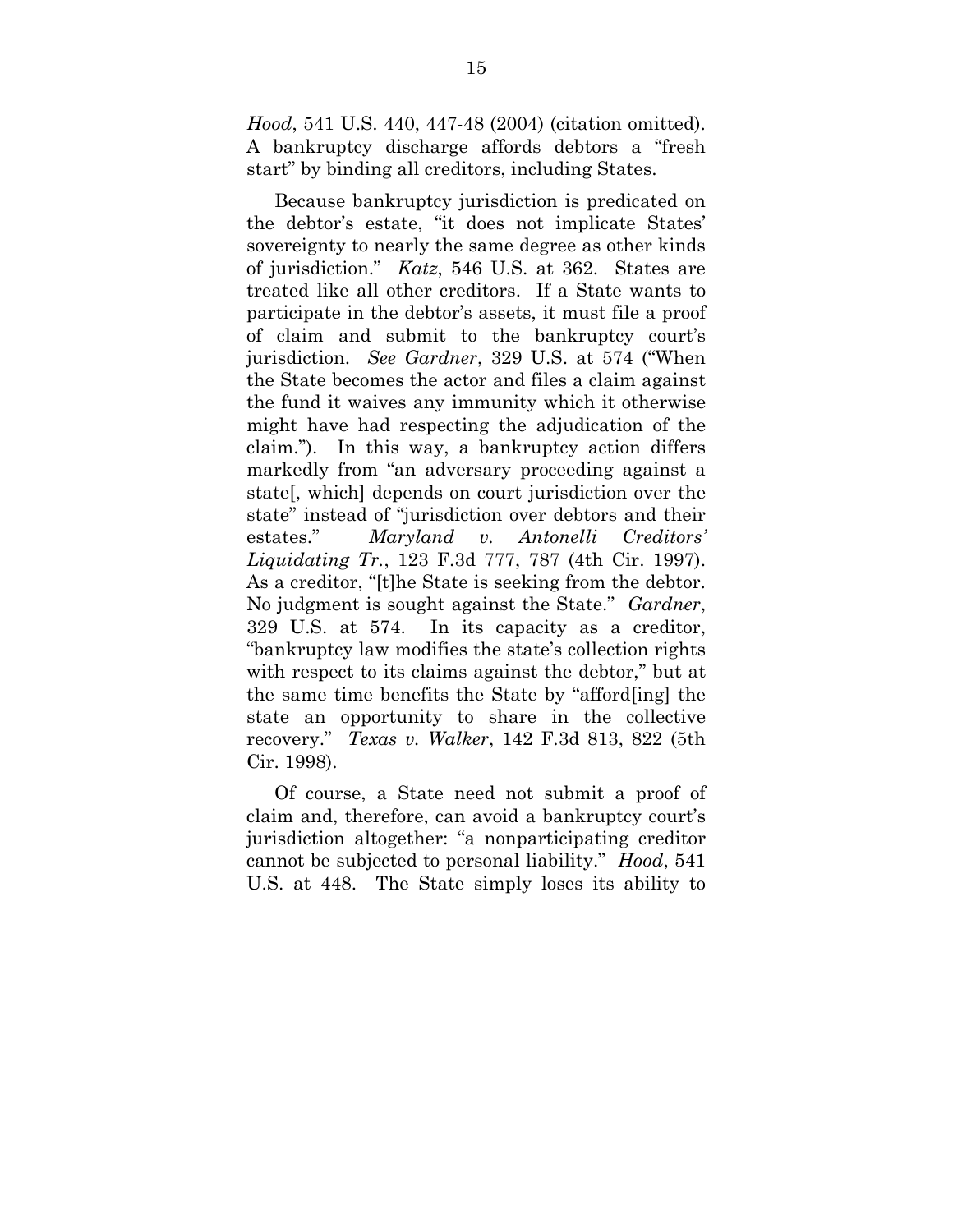*Hood*, 541 U.S. 440, 447-48 (2004) (citation omitted). A bankruptcy discharge affords debtors a "fresh start" by binding all creditors, including States.

Because bankruptcy jurisdiction is predicated on the debtor's estate, "it does not implicate States' sovereignty to nearly the same degree as other kinds of jurisdiction." *Katz*, 546 U.S. at 362. States are treated like all other creditors. If a State wants to participate in the debtor's assets, it must file a proof of claim and submit to the bankruptcy court's jurisdiction. *See Gardner*, 329 U.S. at 574 ("When the State becomes the actor and files a claim against the fund it waives any immunity which it otherwise might have had respecting the adjudication of the claim."). In this way, a bankruptcy action differs markedly from "an adversary proceeding against a state[, which] depends on court jurisdiction over the state" instead of "jurisdiction over debtors and their estates." *Maryland v. Antonelli Creditors' Liquidating Tr.*, 123 F.3d 777, 787 (4th Cir. 1997). As a creditor, "[t]he State is seeking from the debtor. No judgment is sought against the State." *Gardner*, 329 U.S. at 574. In its capacity as a creditor, "bankruptcy law modifies the state's collection rights with respect to its claims against the debtor," but at the same time benefits the State by "afford[ing] the state an opportunity to share in the collective recovery." *Texas v. Walker*, 142 F.3d 813, 822 (5th Cir. 1998).

Of course, a State need not submit a proof of claim and, therefore, can avoid a bankruptcy court's jurisdiction altogether: "a nonparticipating creditor cannot be subjected to personal liability." *Hood*, 541 U.S. at 448. The State simply loses its ability to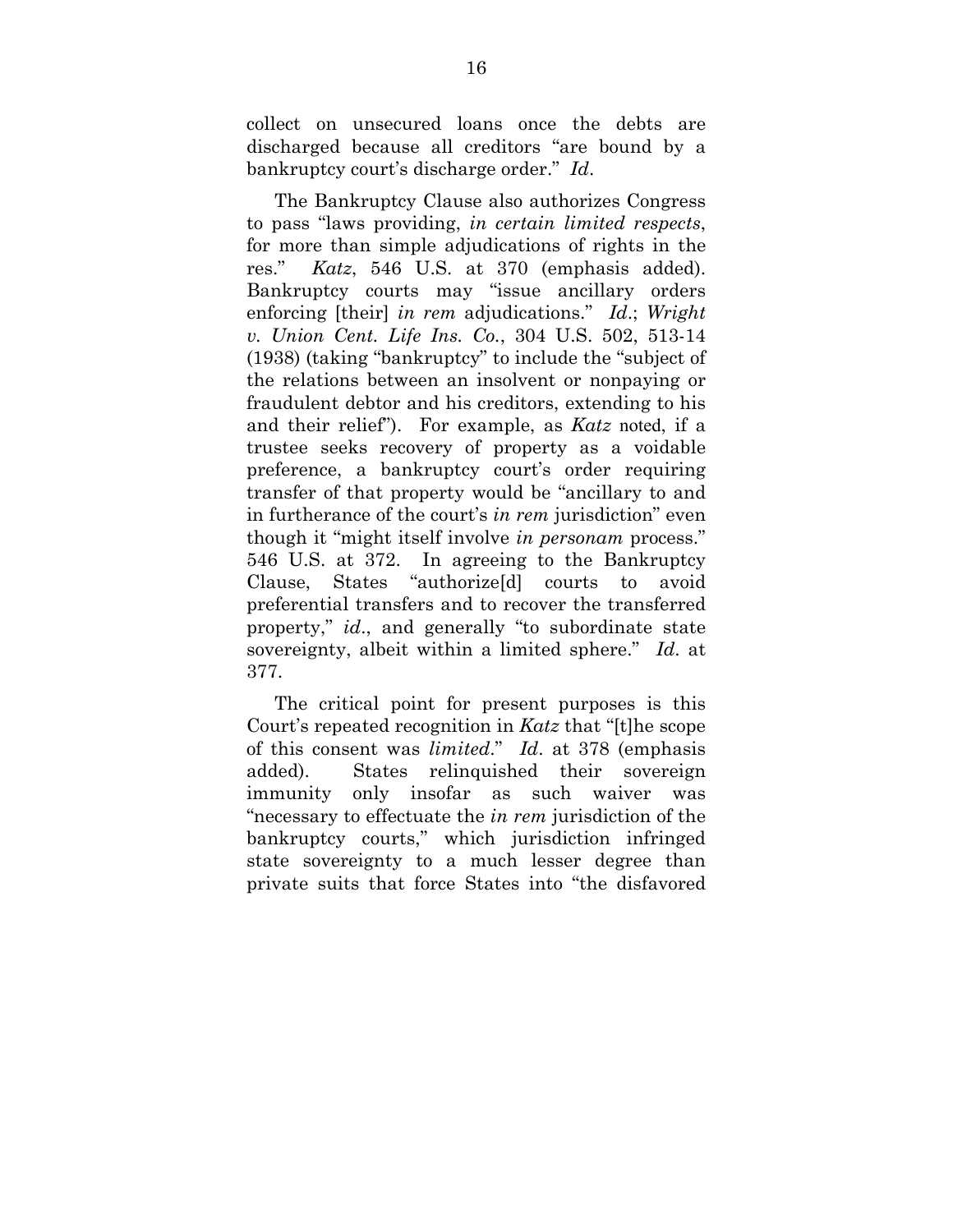collect on unsecured loans once the debts are discharged because all creditors "are bound by a bankruptcy court's discharge order." *Id*.

The Bankruptcy Clause also authorizes Congress to pass "laws providing, *in certain limited respects*, for more than simple adjudications of rights in the res." *Katz*, 546 U.S. at 370 (emphasis added). Bankruptcy courts may "issue ancillary orders enforcing [their] *in rem* adjudications." *Id*.; *Wright v. Union Cent. Life Ins. Co.*, 304 U.S. 502, 513-14 (1938) (taking "bankruptcy" to include the "subject of the relations between an insolvent or nonpaying or fraudulent debtor and his creditors, extending to his and their relief"). For example, as *Katz* noted, if a trustee seeks recovery of property as a voidable preference, a bankruptcy court's order requiring transfer of that property would be "ancillary to and in furtherance of the court's *in rem* jurisdiction" even though it "might itself involve *in personam* process." 546 U.S. at 372. In agreeing to the Bankruptcy Clause, States "authorize[d] courts to avoid preferential transfers and to recover the transferred property," *id*., and generally "to subordinate state sovereignty, albeit within a limited sphere." *Id*. at 377.

The critical point for present purposes is this Court's repeated recognition in *Katz* that "[t]he scope of this consent was *limited*." *Id*. at 378 (emphasis added). States relinquished their sovereign immunity only insofar as such waiver was "necessary to effectuate the *in rem* jurisdiction of the bankruptcy courts," which jurisdiction infringed state sovereignty to a much lesser degree than private suits that force States into "the disfavored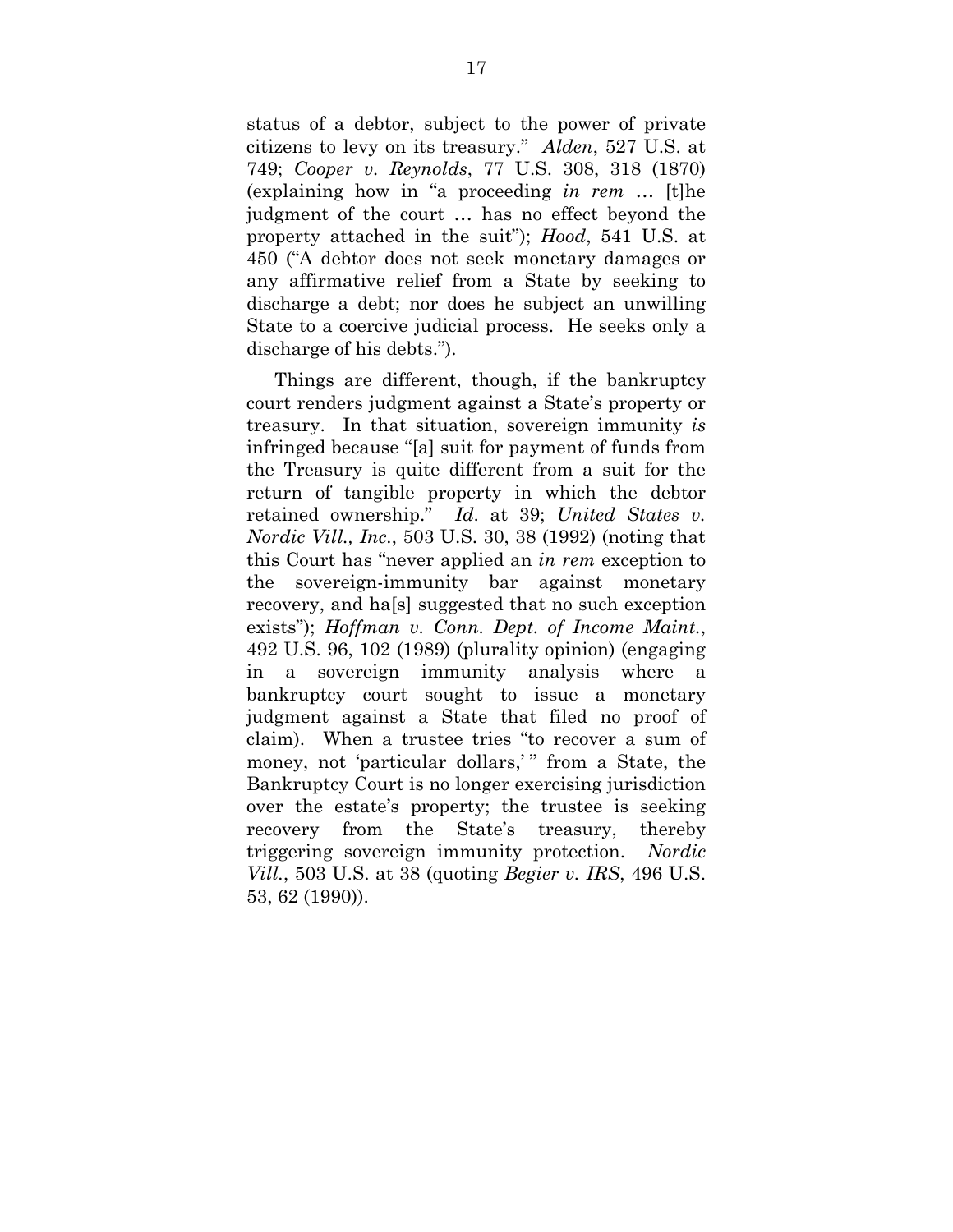status of a debtor, subject to the power of private citizens to levy on its treasury." *Alden*, 527 U.S. at 749; *Cooper v. Reynolds*, 77 U.S. 308, 318 (1870) (explaining how in "a proceeding *in rem* … [t]he judgment of the court … has no effect beyond the property attached in the suit"); *Hood*, 541 U.S. at 450 ("A debtor does not seek monetary damages or any affirmative relief from a State by seeking to discharge a debt; nor does he subject an unwilling State to a coercive judicial process. He seeks only a discharge of his debts.").

Things are different, though, if the bankruptcy court renders judgment against a State's property or treasury. In that situation, sovereign immunity *is* infringed because "[a] suit for payment of funds from the Treasury is quite different from a suit for the return of tangible property in which the debtor retained ownership." *Id*. at 39; *United States v. Nordic Vill., Inc.*, 503 U.S. 30, 38 (1992) (noting that this Court has "never applied an *in rem* exception to the sovereign-immunity bar against monetary recovery, and ha[s] suggested that no such exception exists"); *Hoffman v. Conn. Dept. of Income Maint.*, 492 U.S. 96, 102 (1989) (plurality opinion) (engaging in a sovereign immunity analysis where a bankruptcy court sought to issue a monetary judgment against a State that filed no proof of claim). When a trustee tries "to recover a sum of money, not 'particular dollars,'" from a State, the Bankruptcy Court is no longer exercising jurisdiction over the estate's property; the trustee is seeking recovery from the State's treasury, thereby triggering sovereign immunity protection. *Nordic Vill.*, 503 U.S. at 38 (quoting *Begier v. IRS*, 496 U.S. 53, 62 (1990)).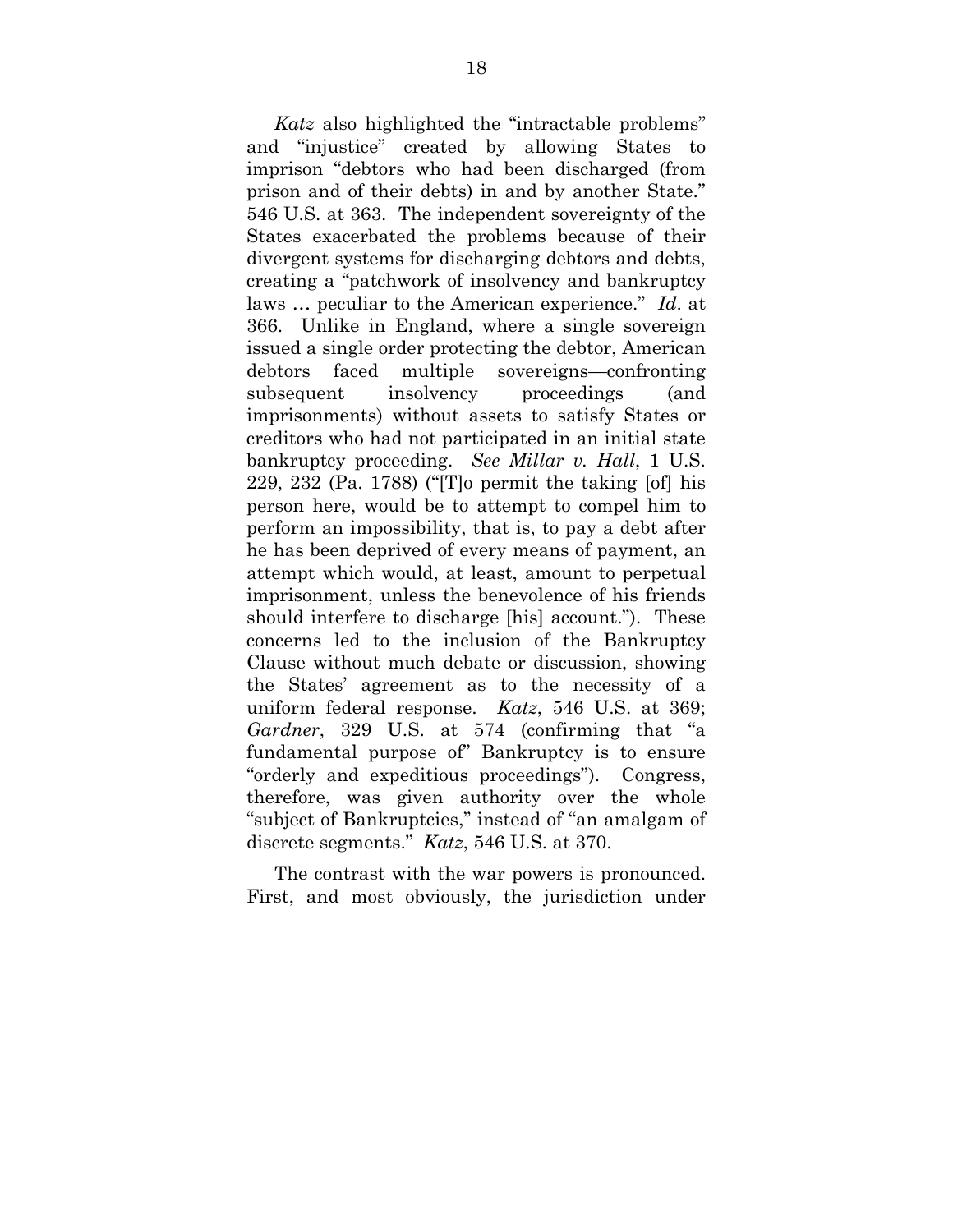*Katz* also highlighted the "intractable problems" and "injustice" created by allowing States to imprison "debtors who had been discharged (from prison and of their debts) in and by another State." 546 U.S. at 363. The independent sovereignty of the States exacerbated the problems because of their divergent systems for discharging debtors and debts, creating a "patchwork of insolvency and bankruptcy laws … peculiar to the American experience." *Id*. at 366. Unlike in England, where a single sovereign issued a single order protecting the debtor, American debtors faced multiple sovereigns—confronting subsequent insolvency proceedings (and imprisonments) without assets to satisfy States or creditors who had not participated in an initial state bankruptcy proceeding. *See Millar v. Hall*, 1 U.S. 229, 232 (Pa. 1788) ("[T]o permit the taking [of] his person here, would be to attempt to compel him to perform an impossibility, that is, to pay a debt after he has been deprived of every means of payment, an attempt which would, at least, amount to perpetual imprisonment, unless the benevolence of his friends should interfere to discharge [his] account."). These concerns led to the inclusion of the Bankruptcy Clause without much debate or discussion, showing the States' agreement as to the necessity of a uniform federal response. *Katz*, 546 U.S. at 369; *Gardner*, 329 U.S. at 574 (confirming that "a fundamental purpose of" Bankruptcy is to ensure "orderly and expeditious proceedings"). Congress, therefore, was given authority over the whole "subject of Bankruptcies," instead of "an amalgam of discrete segments." *Katz*, 546 U.S. at 370.

The contrast with the war powers is pronounced. First, and most obviously, the jurisdiction under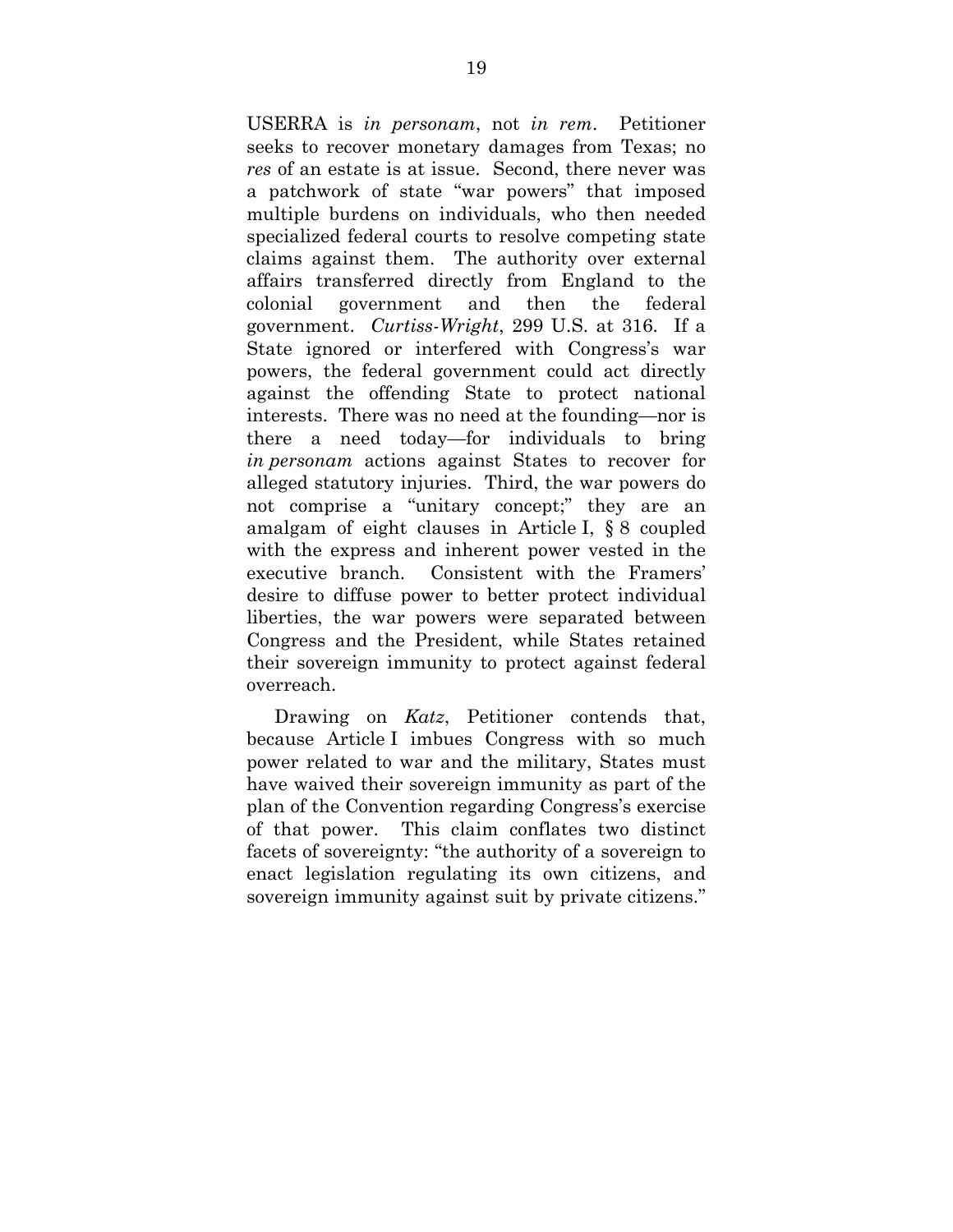USERRA is *in personam*, not *in rem*. Petitioner seeks to recover monetary damages from Texas; no *res* of an estate is at issue. Second, there never was a patchwork of state "war powers" that imposed multiple burdens on individuals, who then needed specialized federal courts to resolve competing state claims against them. The authority over external affairs transferred directly from England to the colonial government and then the federal government. *Curtiss-Wright*, 299 U.S. at 316. If a State ignored or interfered with Congress's war powers, the federal government could act directly against the offending State to protect national interests. There was no need at the founding—nor is there a need today—for individuals to bring *in personam* actions against States to recover for alleged statutory injuries. Third, the war powers do not comprise a "unitary concept;" they are an amalgam of eight clauses in Article I, § 8 coupled with the express and inherent power vested in the executive branch. Consistent with the Framers' desire to diffuse power to better protect individual liberties, the war powers were separated between Congress and the President, while States retained their sovereign immunity to protect against federal overreach.

Drawing on *Katz*, Petitioner contends that, because Article I imbues Congress with so much power related to war and the military, States must have waived their sovereign immunity as part of the plan of the Convention regarding Congress's exercise of that power. This claim conflates two distinct facets of sovereignty: "the authority of a sovereign to enact legislation regulating its own citizens, and sovereign immunity against suit by private citizens."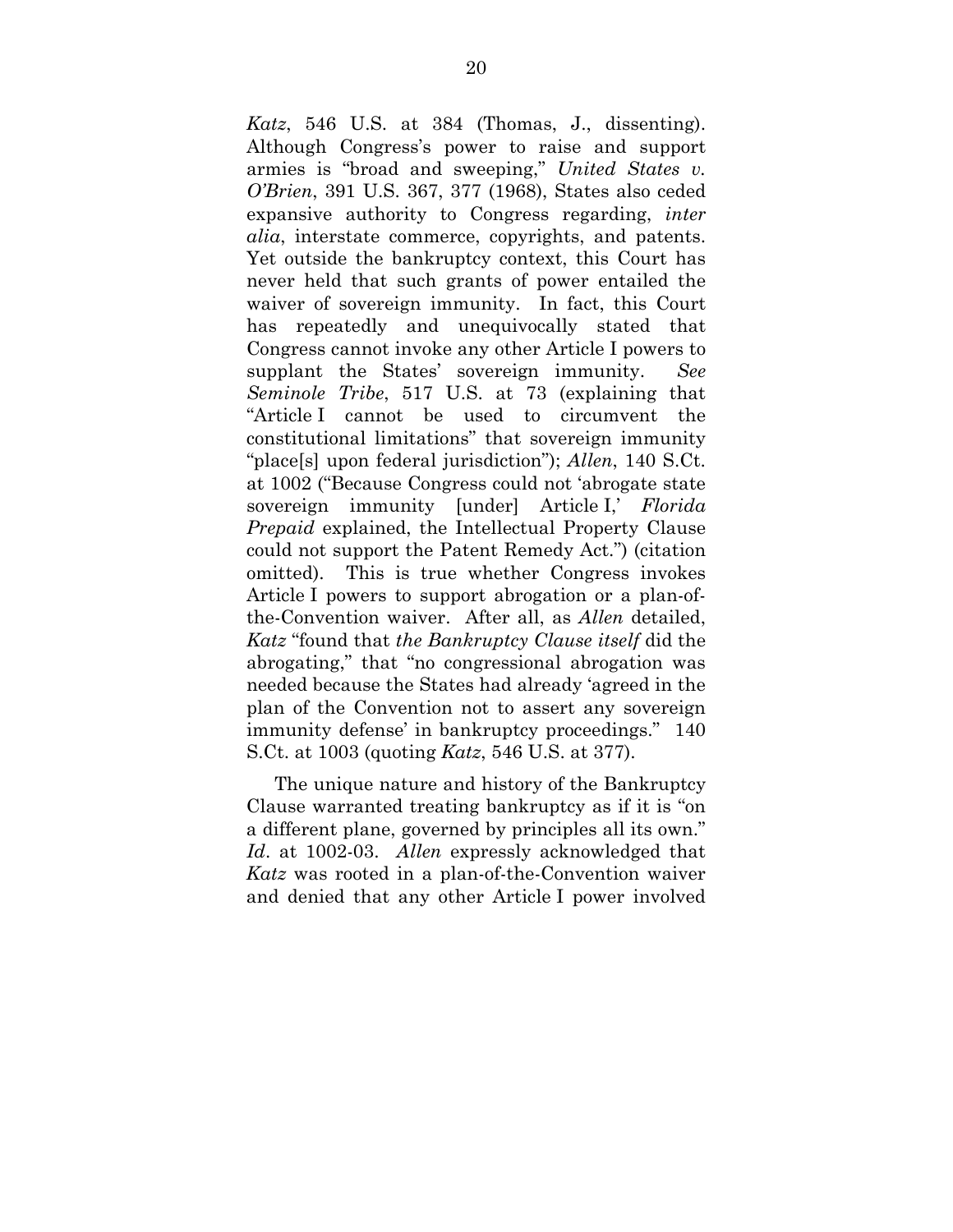*Katz*, 546 U.S. at 384 (Thomas, J., dissenting). Although Congress's power to raise and support armies is "broad and sweeping," *United States v. O'Brien*, 391 U.S. 367, 377 (1968), States also ceded expansive authority to Congress regarding, *inter alia*, interstate commerce, copyrights, and patents. Yet outside the bankruptcy context, this Court has never held that such grants of power entailed the waiver of sovereign immunity. In fact, this Court has repeatedly and unequivocally stated that Congress cannot invoke any other Article I powers to supplant the States' sovereign immunity. *See Seminole Tribe*, 517 U.S. at 73 (explaining that "Article I cannot be used to circumvent the constitutional limitations" that sovereign immunity "place[s] upon federal jurisdiction"); *Allen*, 140 S.Ct. at 1002 ("Because Congress could not 'abrogate state sovereign immunity [under] Article I,' *Florida Prepaid* explained, the Intellectual Property Clause could not support the Patent Remedy Act.") (citation omitted). This is true whether Congress invokes Article I powers to support abrogation or a plan-ofthe-Convention waiver. After all, as *Allen* detailed, *Katz* "found that *the Bankruptcy Clause itself* did the abrogating," that "no congressional abrogation was needed because the States had already 'agreed in the plan of the Convention not to assert any sovereign immunity defense' in bankruptcy proceedings." 140 S.Ct. at 1003 (quoting *Katz*, 546 U.S. at 377).

The unique nature and history of the Bankruptcy Clause warranted treating bankruptcy as if it is "on a different plane, governed by principles all its own." *Id*. at 1002-03. *Allen* expressly acknowledged that *Katz* was rooted in a plan-of-the-Convention waiver and denied that any other Article I power involved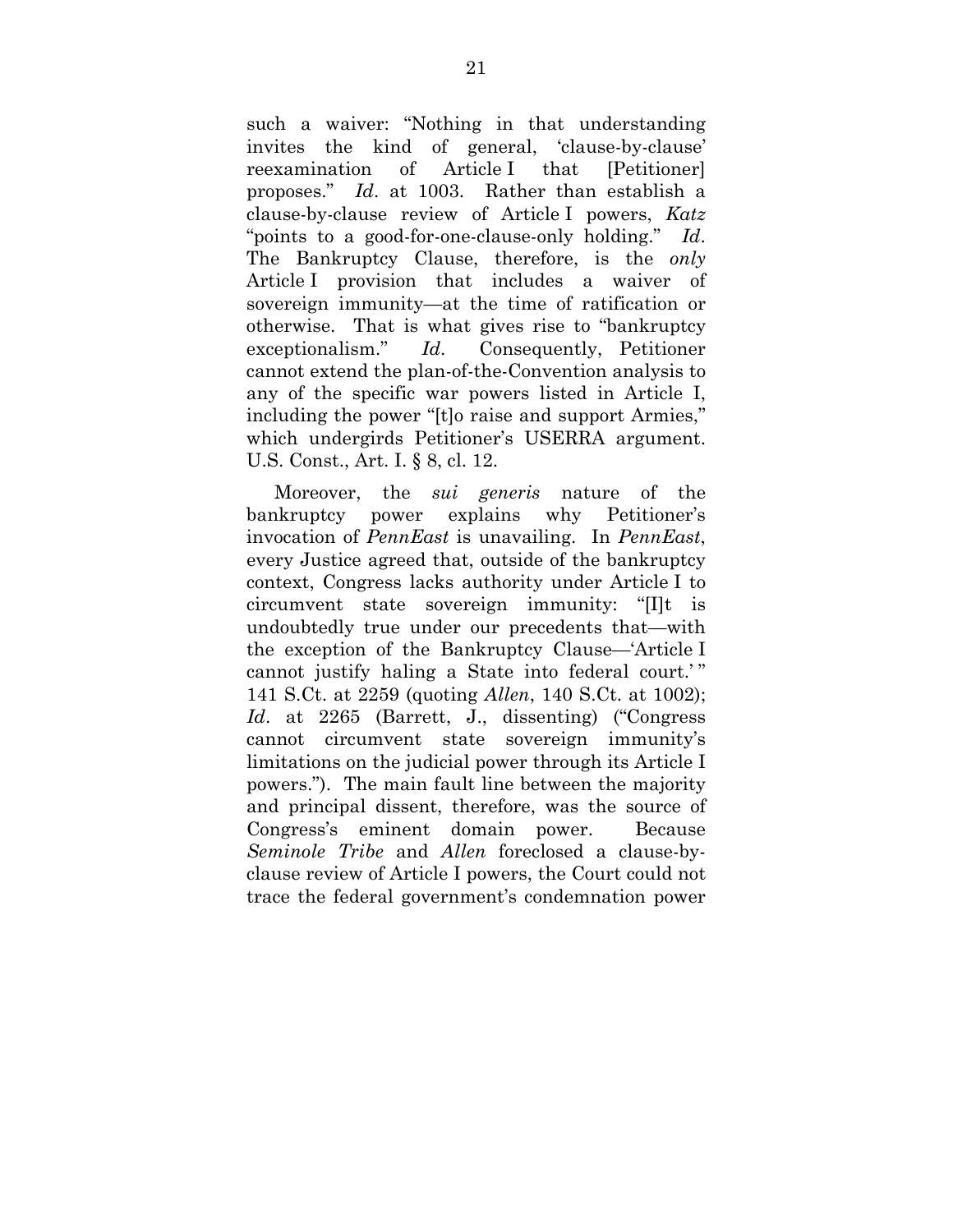such a waiver: "Nothing in that understanding invites the kind of general, 'clause-by-clause' reexamination of Article I that [Petitioner] proposes." *Id*. at 1003. Rather than establish a clause-by-clause review of Article I powers, *Katz* "points to a good-for-one-clause-only holding." *Id*. The Bankruptcy Clause, therefore, is the *only* Article I provision that includes a waiver of sovereign immunity—at the time of ratification or otherwise. That is what gives rise to "bankruptcy exceptionalism." *Id*. Consequently, Petitioner cannot extend the plan-of-the-Convention analysis to any of the specific war powers listed in Article I, including the power "[t]o raise and support Armies," which undergirds Petitioner's USERRA argument. U.S. Const., Art. I. § 8, cl. 12.

Moreover, the *sui generis* nature of the bankruptcy power explains why Petitioner's invocation of *PennEast* is unavailing. In *PennEast*, every Justice agreed that, outside of the bankruptcy context, Congress lacks authority under Article I to circumvent state sovereign immunity: "[I]t is undoubtedly true under our precedents that—with the exception of the Bankruptcy Clause—'Article I cannot justify haling a State into federal court.'" 141 S.Ct. at 2259 (quoting *Allen*, 140 S.Ct. at 1002); *Id*. at 2265 (Barrett, J., dissenting) ("Congress cannot circumvent state sovereign immunity's limitations on the judicial power through its Article I powers."). The main fault line between the majority and principal dissent, therefore, was the source of Congress's eminent domain power. Because *Seminole Tribe* and *Allen* foreclosed a clause-byclause review of Article I powers, the Court could not trace the federal government's condemnation power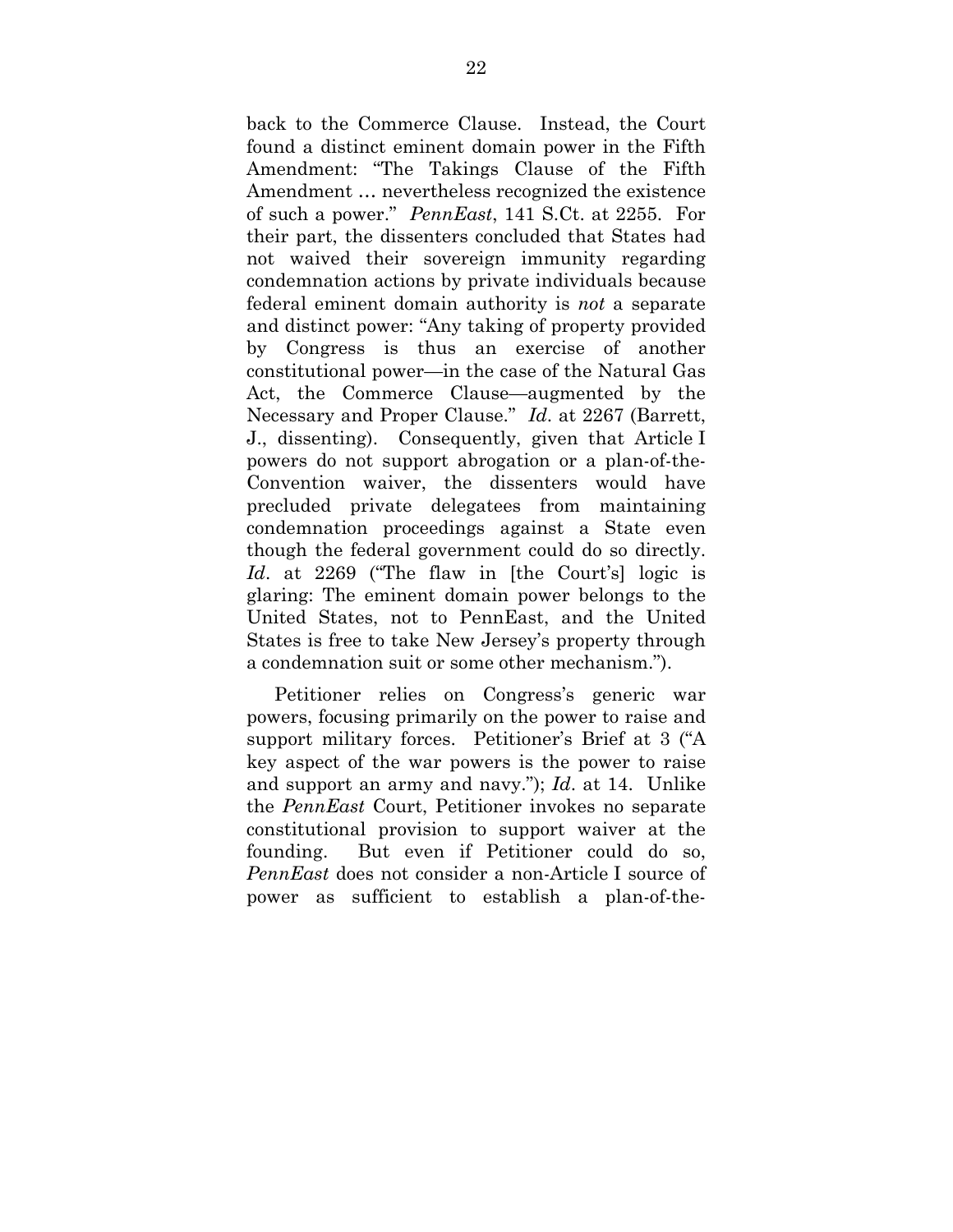back to the Commerce Clause. Instead, the Court found a distinct eminent domain power in the Fifth Amendment: "The Takings Clause of the Fifth Amendment … nevertheless recognized the existence of such a power." *PennEast*, 141 S.Ct. at 2255. For their part, the dissenters concluded that States had not waived their sovereign immunity regarding condemnation actions by private individuals because federal eminent domain authority is *not* a separate and distinct power: "Any taking of property provided by Congress is thus an exercise of another constitutional power—in the case of the Natural Gas Act, the Commerce Clause—augmented by the Necessary and Proper Clause." *Id*. at 2267 (Barrett, J., dissenting). Consequently, given that Article I powers do not support abrogation or a plan-of-the-Convention waiver, the dissenters would have precluded private delegatees from maintaining condemnation proceedings against a State even though the federal government could do so directly. *Id*. at 2269 ("The flaw in [the Court's] logic is glaring: The eminent domain power belongs to the United States, not to PennEast, and the United States is free to take New Jersey's property through a condemnation suit or some other mechanism.").

Petitioner relies on Congress's generic war powers, focusing primarily on the power to raise and support military forces. Petitioner's Brief at 3 ("A key aspect of the war powers is the power to raise and support an army and navy."); *Id*. at 14. Unlike the *PennEast* Court, Petitioner invokes no separate constitutional provision to support waiver at the founding. But even if Petitioner could do so, *PennEast* does not consider a non-Article I source of power as sufficient to establish a plan-of-the-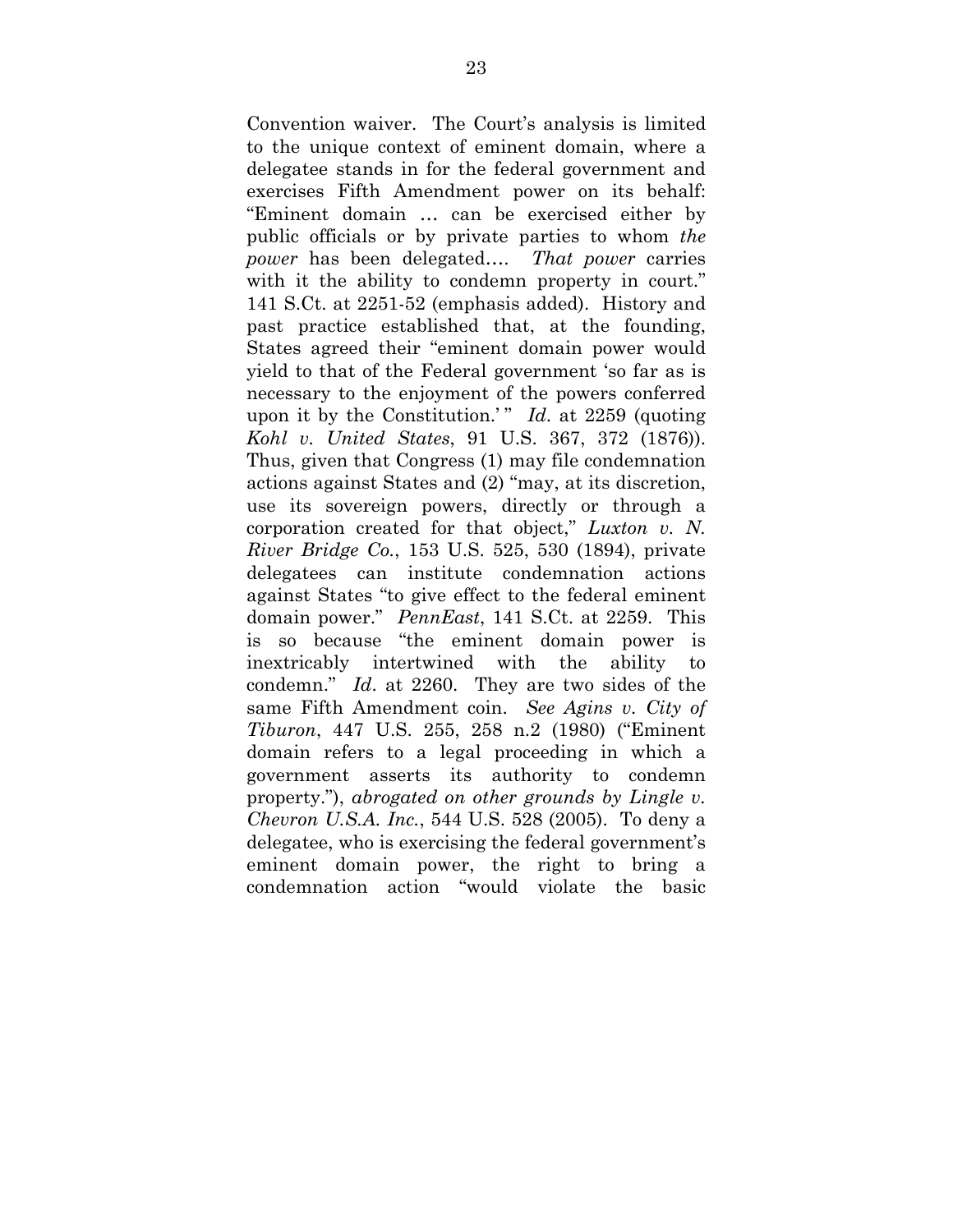Convention waiver. The Court's analysis is limited to the unique context of eminent domain, where a delegatee stands in for the federal government and exercises Fifth Amendment power on its behalf: "Eminent domain … can be exercised either by public officials or by private parties to whom *the power* has been delegated…. *That power* carries with it the ability to condemn property in court." 141 S.Ct. at 2251-52 (emphasis added). History and past practice established that, at the founding, States agreed their "eminent domain power would yield to that of the Federal government 'so far as is necessary to the enjoyment of the powers conferred upon it by the Constitution.'" *Id.* at 2259 (quoting *Kohl v. United States*, 91 U.S. 367, 372 (1876)). Thus, given that Congress (1) may file condemnation actions against States and (2) "may, at its discretion, use its sovereign powers, directly or through a corporation created for that object," *Luxton v. N. River Bridge Co.*, 153 U.S. 525, 530 (1894), private delegatees can institute condemnation actions against States "to give effect to the federal eminent domain power." *PennEast*, 141 S.Ct. at 2259. This is so because "the eminent domain power is inextricably intertwined with the ability to condemn." *Id*. at 2260. They are two sides of the same Fifth Amendment coin. *See Agins v. City of Tiburon*, 447 U.S. 255, 258 n.2 (1980) ("Eminent domain refers to a legal proceeding in which a government asserts its authority to condemn property."), *abrogated on other grounds by Lingle v. Chevron U.S.A. Inc.*, 544 U.S. 528 (2005). To deny a delegatee, who is exercising the federal government's eminent domain power, the right to bring a condemnation action "would violate the basic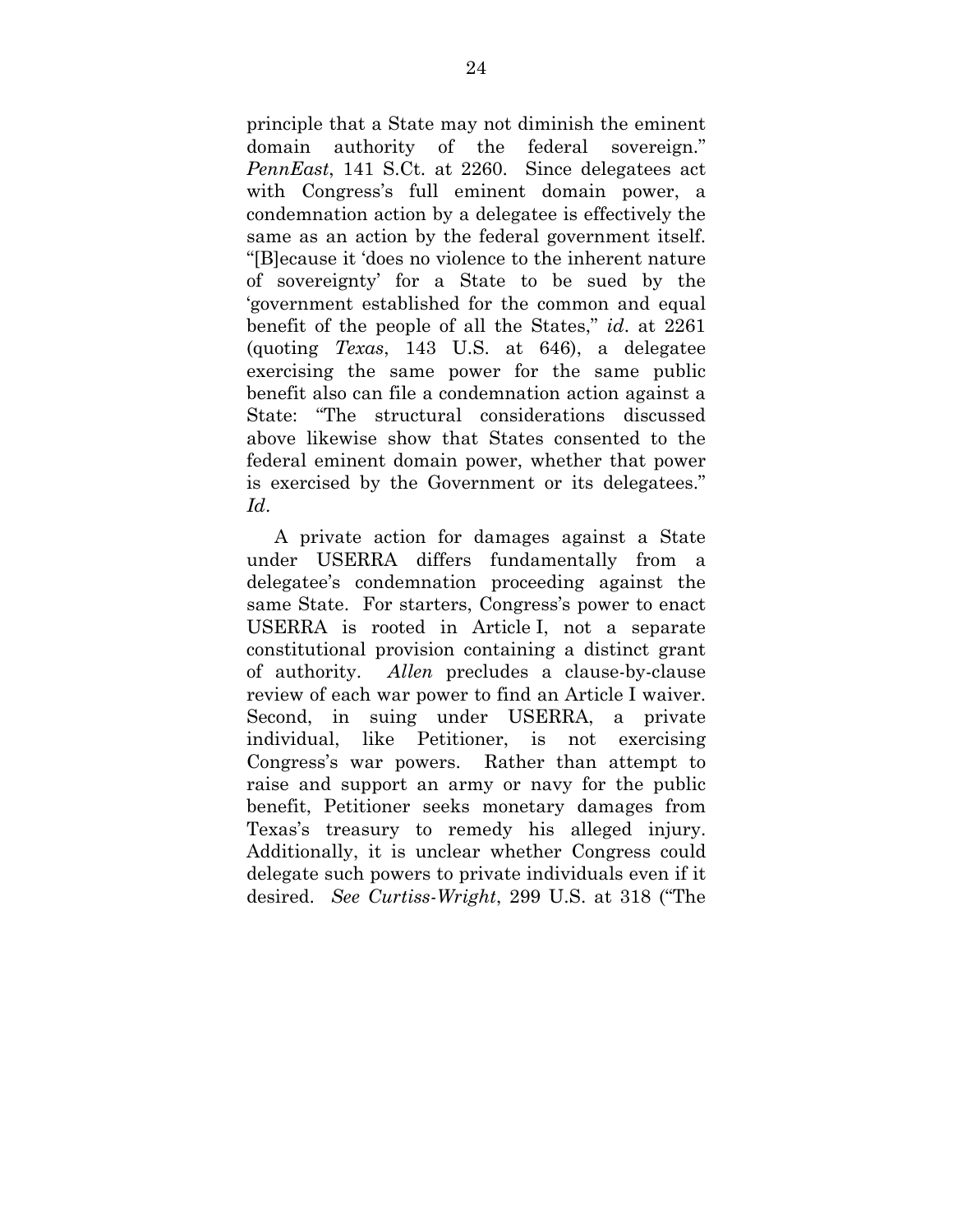principle that a State may not diminish the eminent domain authority of the federal sovereign." *PennEast*, 141 S.Ct. at 2260. Since delegatees act with Congress's full eminent domain power, a condemnation action by a delegatee is effectively the same as an action by the federal government itself. "[B]ecause it 'does no violence to the inherent nature of sovereignty' for a State to be sued by the 'government established for the common and equal benefit of the people of all the States," *id*. at 2261 (quoting *Texas*, 143 U.S. at 646), a delegatee exercising the same power for the same public benefit also can file a condemnation action against a State: "The structural considerations discussed above likewise show that States consented to the federal eminent domain power, whether that power is exercised by the Government or its delegatees." *Id*.

A private action for damages against a State under USERRA differs fundamentally from a delegatee's condemnation proceeding against the same State. For starters, Congress's power to enact USERRA is rooted in Article I, not a separate constitutional provision containing a distinct grant of authority. *Allen* precludes a clause-by-clause review of each war power to find an Article I waiver. Second, in suing under USERRA, a private individual, like Petitioner, is not exercising Congress's war powers. Rather than attempt to raise and support an army or navy for the public benefit, Petitioner seeks monetary damages from Texas's treasury to remedy his alleged injury. Additionally, it is unclear whether Congress could delegate such powers to private individuals even if it desired. *See Curtiss-Wright*, 299 U.S. at 318 ("The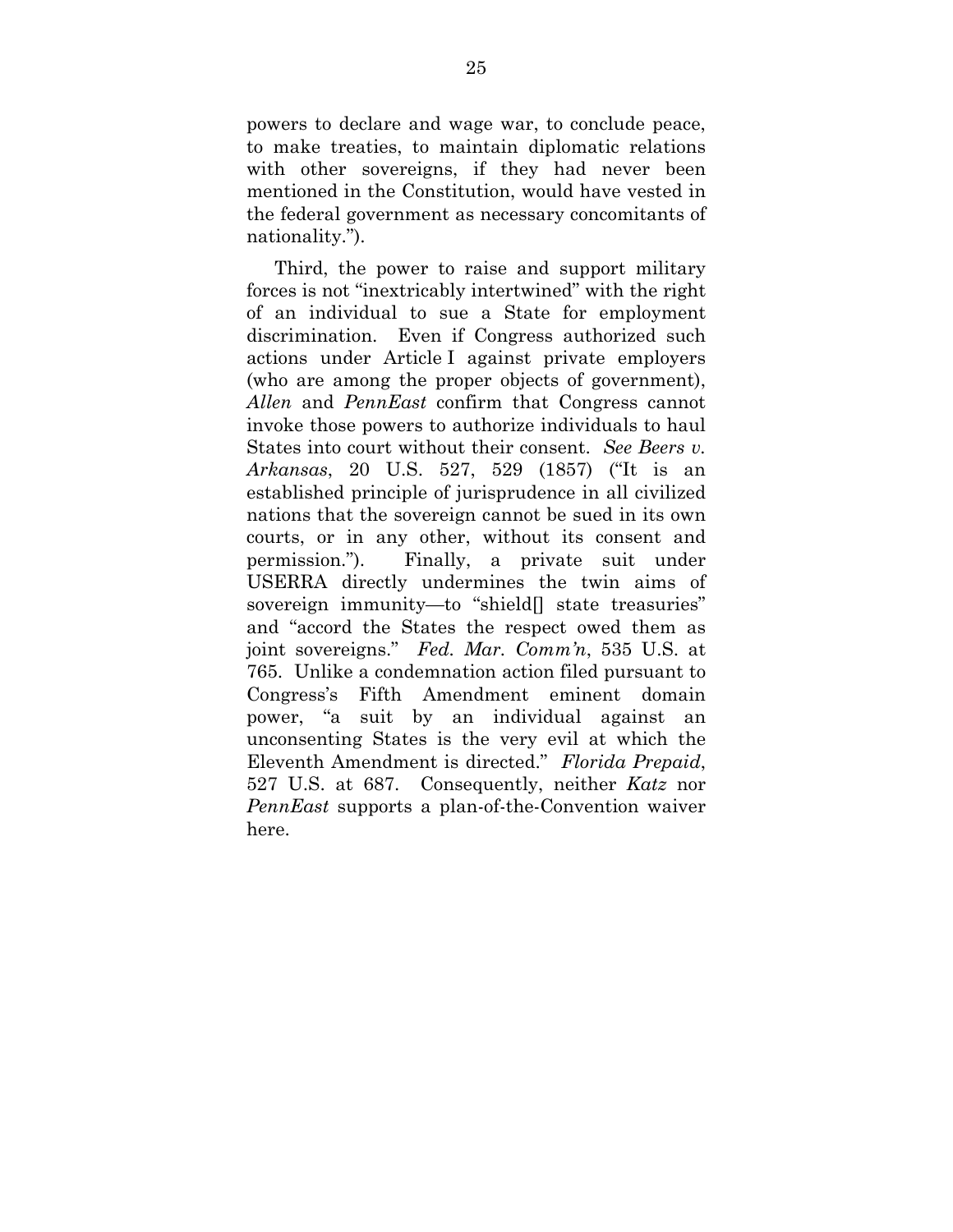powers to declare and wage war, to conclude peace, to make treaties, to maintain diplomatic relations with other sovereigns, if they had never been mentioned in the Constitution, would have vested in the federal government as necessary concomitants of nationality.").

Third, the power to raise and support military forces is not "inextricably intertwined" with the right of an individual to sue a State for employment discrimination. Even if Congress authorized such actions under Article I against private employers (who are among the proper objects of government), *Allen* and *PennEast* confirm that Congress cannot invoke those powers to authorize individuals to haul States into court without their consent. *See Beers v. Arkansas*, 20 U.S. 527, 529 (1857) ("It is an established principle of jurisprudence in all civilized nations that the sovereign cannot be sued in its own courts, or in any other, without its consent and permission."). Finally, a private suit under USERRA directly undermines the twin aims of sovereign immunity—to "shield[] state treasuries" and "accord the States the respect owed them as joint sovereigns." *Fed. Mar. Comm'n*, 535 U.S. at 765. Unlike a condemnation action filed pursuant to Congress's Fifth Amendment eminent domain power, "a suit by an individual against an unconsenting States is the very evil at which the Eleventh Amendment is directed." *Florida Prepaid*, 527 U.S. at 687. Consequently, neither *Katz* nor *PennEast* supports a plan-of-the-Convention waiver here.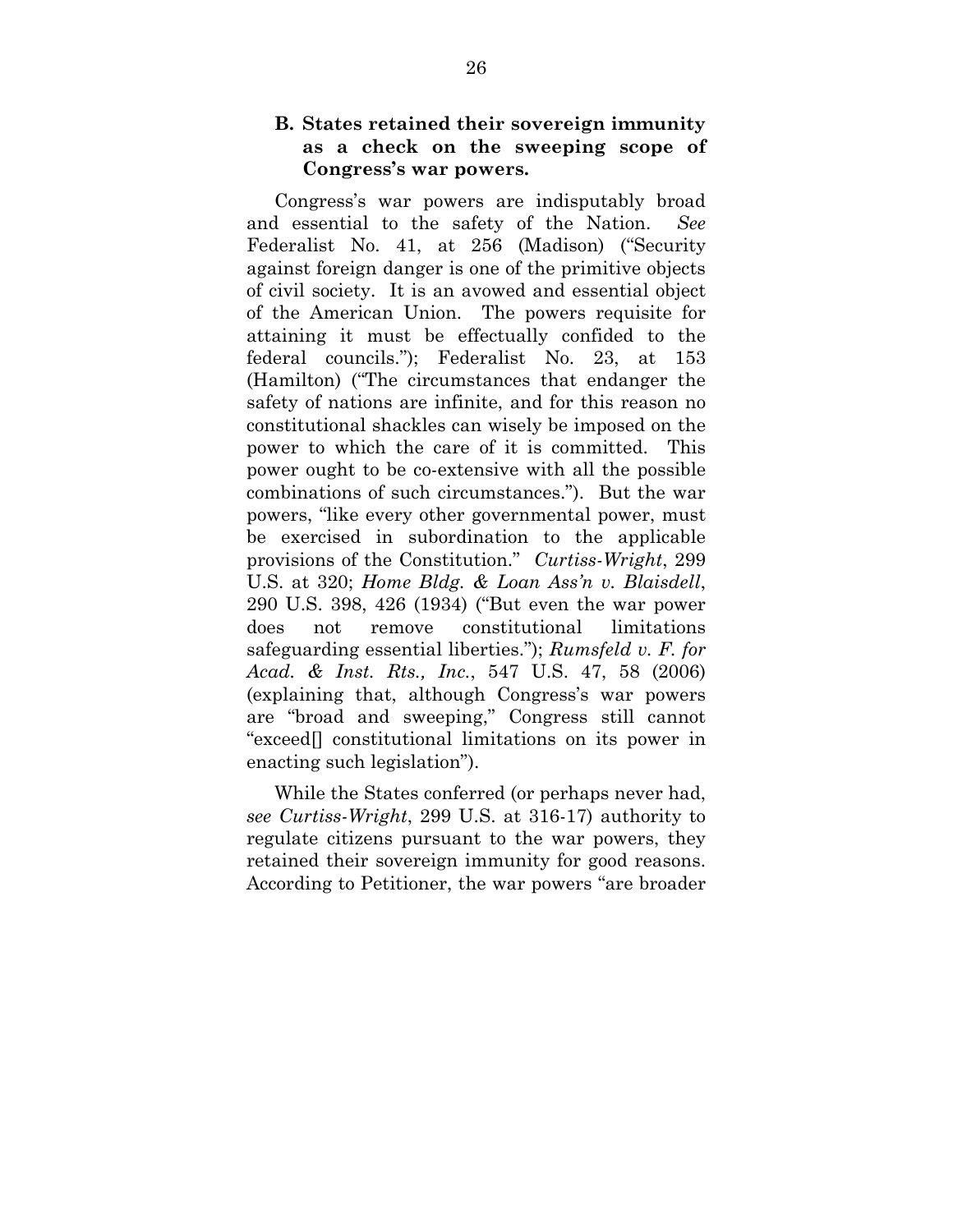### **B. States retained their sovereign immunity as a check on the sweeping scope of Congress's war powers.**

Congress's war powers are indisputably broad and essential to the safety of the Nation. *See* Federalist No. 41, at 256 (Madison) ("Security against foreign danger is one of the primitive objects of civil society. It is an avowed and essential object of the American Union. The powers requisite for attaining it must be effectually confided to the federal councils."); Federalist No. 23, at 153 (Hamilton) ("The circumstances that endanger the safety of nations are infinite, and for this reason no constitutional shackles can wisely be imposed on the power to which the care of it is committed. This power ought to be co-extensive with all the possible combinations of such circumstances."). But the war powers, "like every other governmental power, must be exercised in subordination to the applicable provisions of the Constitution." *Curtiss-Wright*, 299 U.S. at 320; *Home Bldg. & Loan Ass'n v. Blaisdell*, 290 U.S. 398, 426 (1934) ("But even the war power does not remove constitutional limitations safeguarding essential liberties."); *Rumsfeld v. F. for Acad. & Inst. Rts., Inc.*, 547 U.S. 47, 58 (2006) (explaining that, although Congress's war powers are "broad and sweeping," Congress still cannot "exceed[] constitutional limitations on its power in enacting such legislation").

While the States conferred (or perhaps never had, *see Curtiss-Wright*, 299 U.S. at 316-17) authority to regulate citizens pursuant to the war powers, they retained their sovereign immunity for good reasons. According to Petitioner, the war powers "are broader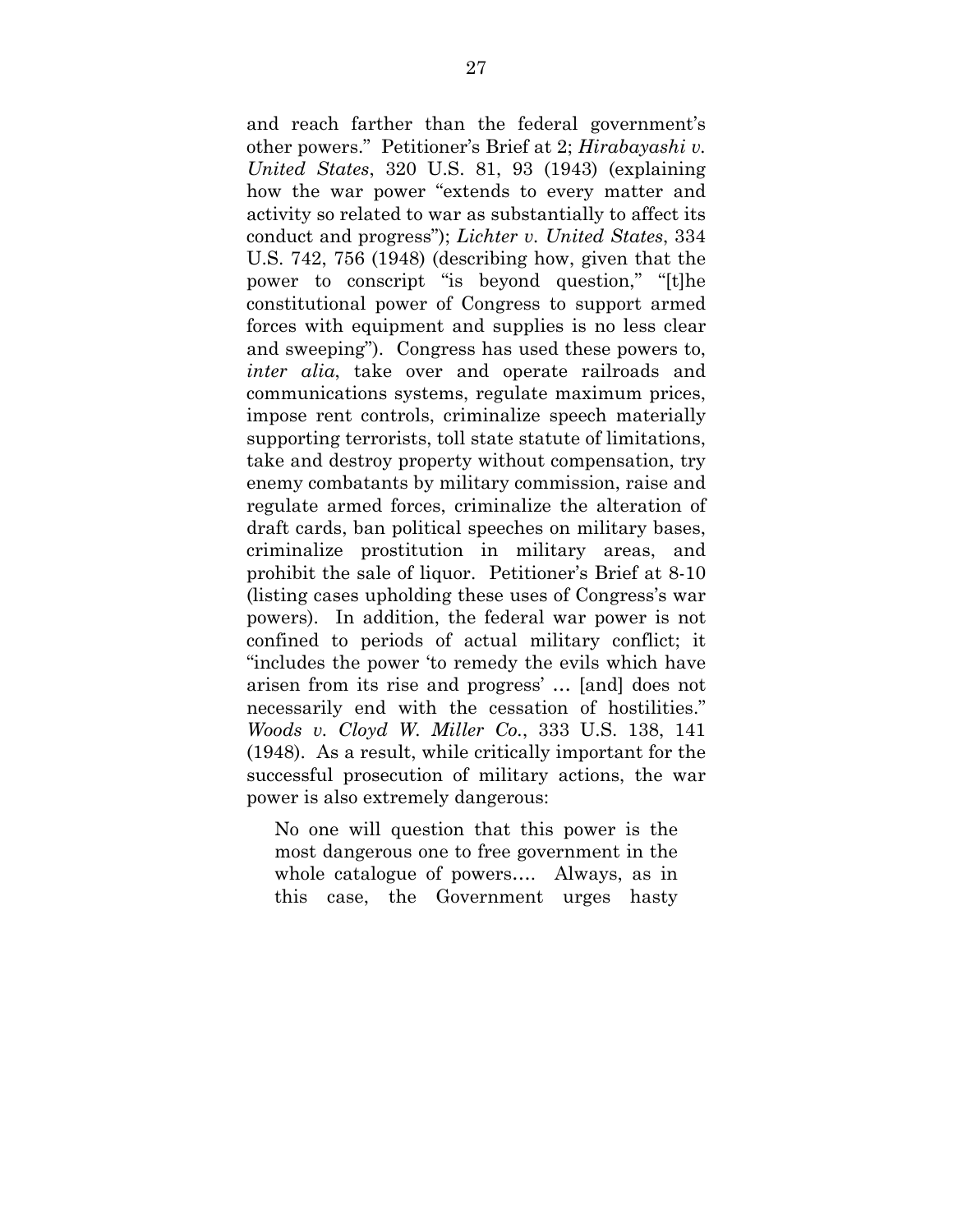and reach farther than the federal government's other powers." Petitioner's Brief at 2; *Hirabayashi v. United States*, 320 U.S. 81, 93 (1943) (explaining how the war power "extends to every matter and activity so related to war as substantially to affect its conduct and progress"); *Lichter v. United States*, 334 U.S. 742, 756 (1948) (describing how, given that the power to conscript "is beyond question," "[t]he constitutional power of Congress to support armed forces with equipment and supplies is no less clear and sweeping"). Congress has used these powers to, *inter alia*, take over and operate railroads and communications systems, regulate maximum prices, impose rent controls, criminalize speech materially supporting terrorists, toll state statute of limitations, take and destroy property without compensation, try enemy combatants by military commission, raise and regulate armed forces, criminalize the alteration of draft cards, ban political speeches on military bases, criminalize prostitution in military areas, and prohibit the sale of liquor. Petitioner's Brief at 8-10 (listing cases upholding these uses of Congress's war powers). In addition, the federal war power is not confined to periods of actual military conflict; it "includes the power 'to remedy the evils which have arisen from its rise and progress' … [and] does not necessarily end with the cessation of hostilities." *Woods v. Cloyd W. Miller Co.*, 333 U.S. 138, 141 (1948). As a result, while critically important for the successful prosecution of military actions, the war power is also extremely dangerous:

No one will question that this power is the most dangerous one to free government in the whole catalogue of powers…. Always, as in this case, the Government urges hasty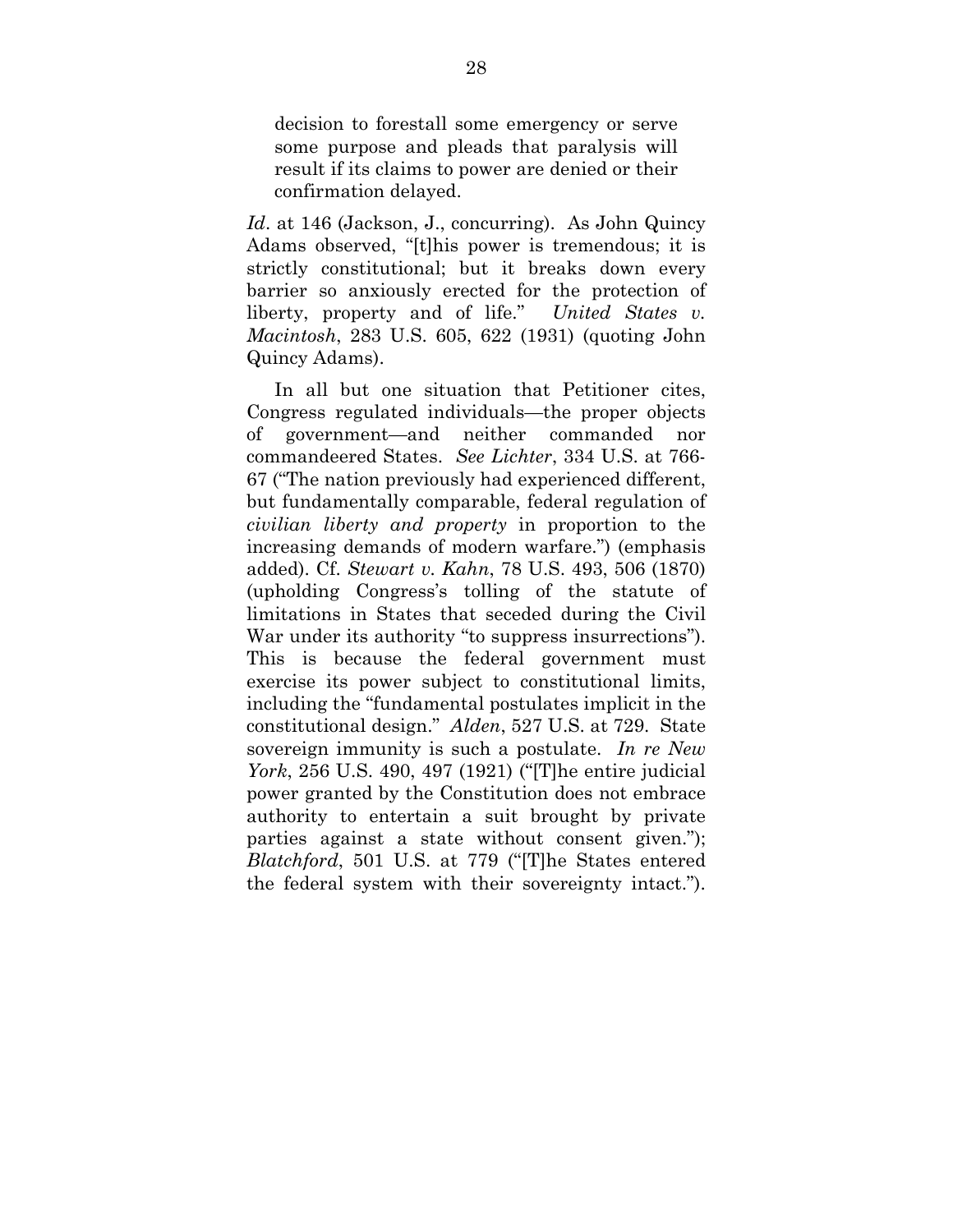decision to forestall some emergency or serve some purpose and pleads that paralysis will result if its claims to power are denied or their confirmation delayed.

*Id*. at 146 (Jackson, J., concurring). As John Quincy Adams observed, "[t]his power is tremendous; it is strictly constitutional; but it breaks down every barrier so anxiously erected for the protection of liberty, property and of life." *United States v. Macintosh*, 283 U.S. 605, 622 (1931) (quoting John Quincy Adams).

In all but one situation that Petitioner cites, Congress regulated individuals—the proper objects of government—and neither commanded nor commandeered States. *See Lichter*, 334 U.S. at 766- 67 ("The nation previously had experienced different, but fundamentally comparable, federal regulation of *civilian liberty and property* in proportion to the increasing demands of modern warfare.") (emphasis added). Cf. *Stewart v. Kahn*, 78 U.S. 493, 506 (1870) (upholding Congress's tolling of the statute of limitations in States that seceded during the Civil War under its authority "to suppress insurrections"). This is because the federal government must exercise its power subject to constitutional limits, including the "fundamental postulates implicit in the constitutional design." *Alden*, 527 U.S. at 729. State sovereign immunity is such a postulate. *In re New York*, 256 U.S. 490, 497 (1921) ("[T]he entire judicial power granted by the Constitution does not embrace authority to entertain a suit brought by private parties against a state without consent given."); *Blatchford*, 501 U.S. at 779 ("[T]he States entered the federal system with their sovereignty intact.").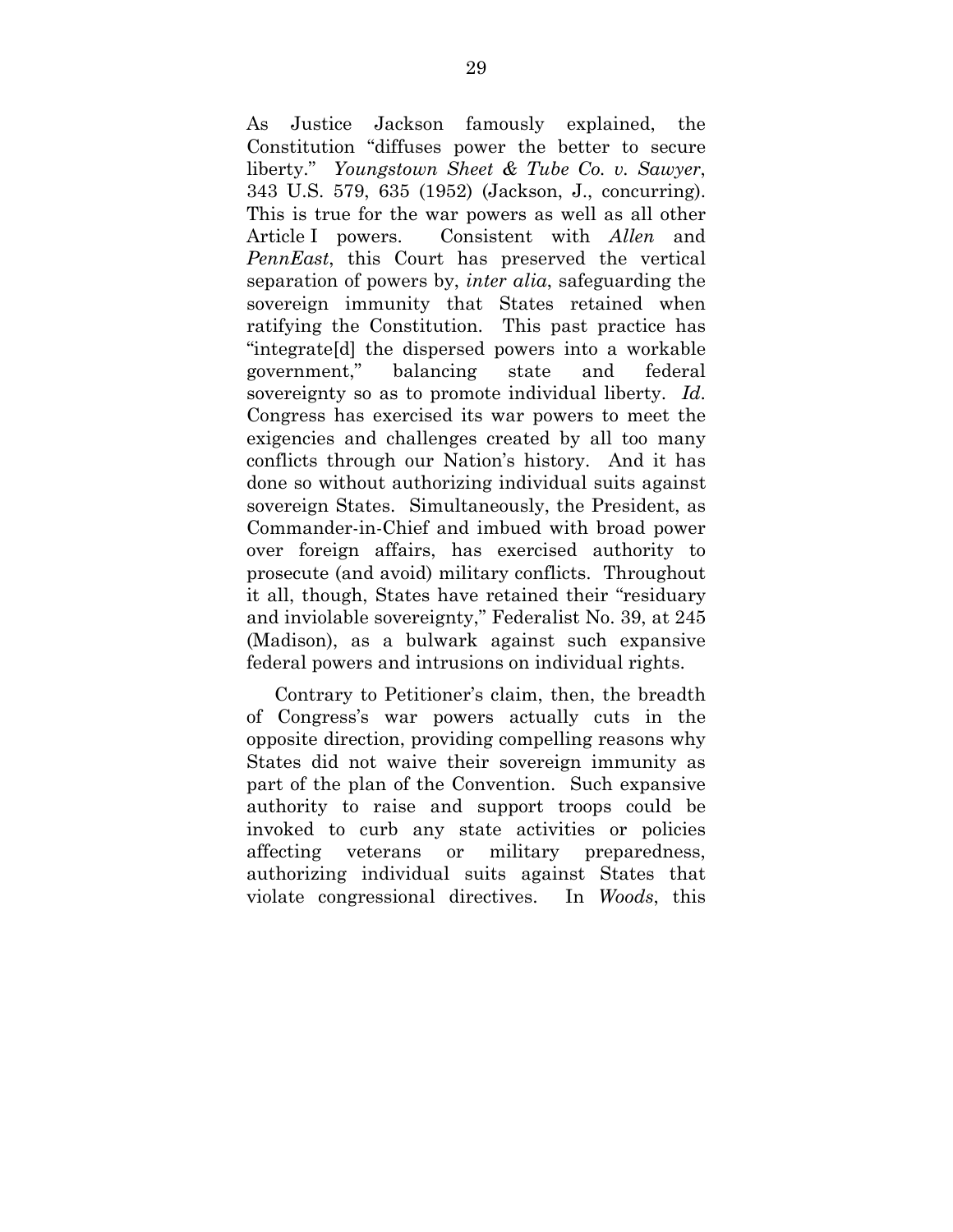As Justice Jackson famously explained, the Constitution "diffuses power the better to secure liberty." *Youngstown Sheet & Tube Co. v. Sawyer*, 343 U.S. 579, 635 (1952) (Jackson, J., concurring). This is true for the war powers as well as all other Article I powers. Consistent with *Allen* and *PennEast*, this Court has preserved the vertical separation of powers by, *inter alia*, safeguarding the sovereign immunity that States retained when ratifying the Constitution. This past practice has "integrate[d] the dispersed powers into a workable government," balancing state and federal sovereignty so as to promote individual liberty. *Id*. Congress has exercised its war powers to meet the exigencies and challenges created by all too many conflicts through our Nation's history. And it has done so without authorizing individual suits against sovereign States. Simultaneously, the President, as Commander-in-Chief and imbued with broad power over foreign affairs, has exercised authority to prosecute (and avoid) military conflicts. Throughout it all, though, States have retained their "residuary and inviolable sovereignty," Federalist No. 39, at 245 (Madison), as a bulwark against such expansive federal powers and intrusions on individual rights.

Contrary to Petitioner's claim, then, the breadth of Congress's war powers actually cuts in the opposite direction, providing compelling reasons why States did not waive their sovereign immunity as part of the plan of the Convention. Such expansive authority to raise and support troops could be invoked to curb any state activities or policies affecting veterans or military preparedness, authorizing individual suits against States that violate congressional directives. In *Woods*, this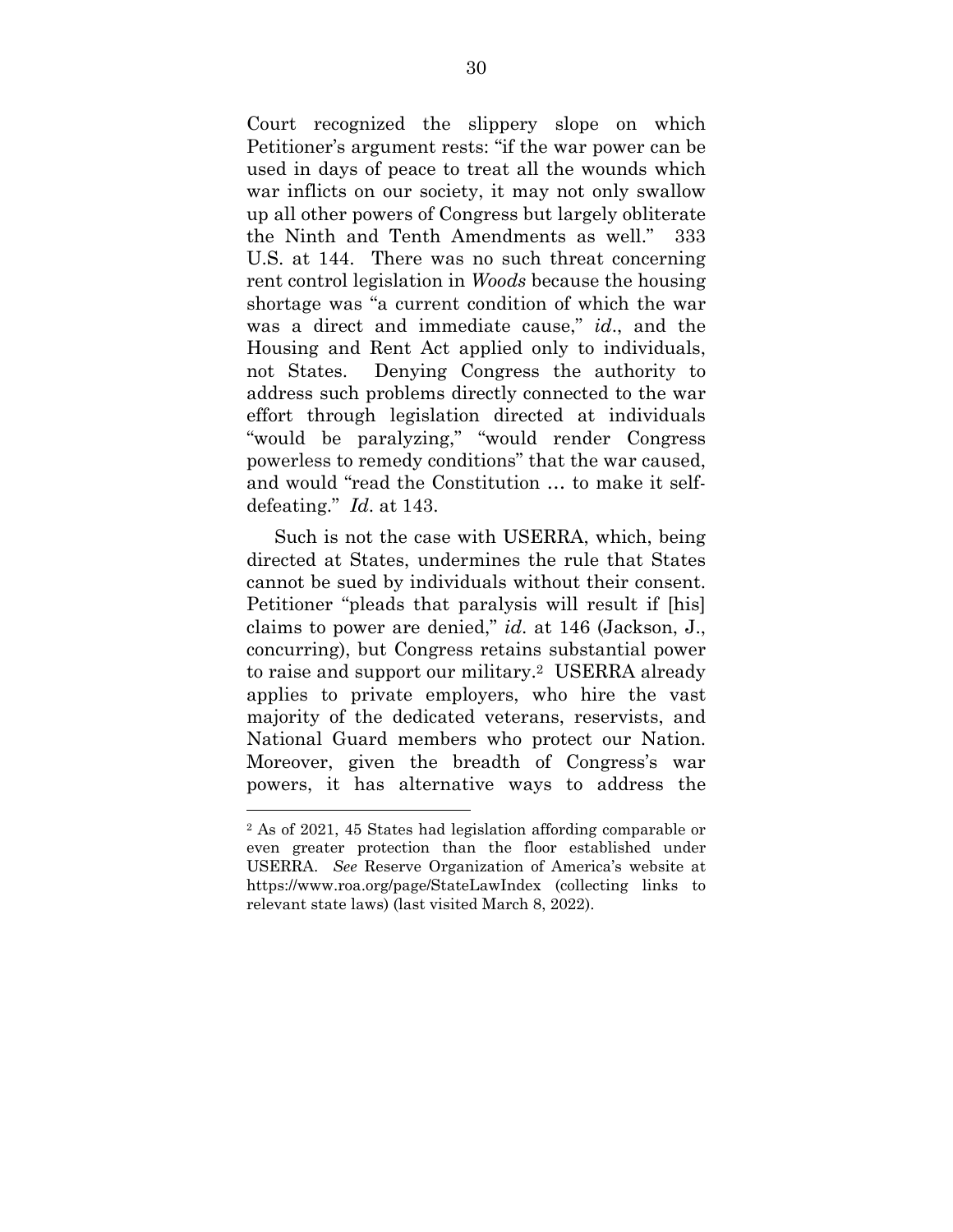Court recognized the slippery slope on which Petitioner's argument rests: "if the war power can be used in days of peace to treat all the wounds which war inflicts on our society, it may not only swallow up all other powers of Congress but largely obliterate the Ninth and Tenth Amendments as well." 333 U.S. at 144. There was no such threat concerning rent control legislation in *Woods* because the housing shortage was "a current condition of which the war was a direct and immediate cause," *id*., and the Housing and Rent Act applied only to individuals, not States. Denying Congress the authority to address such problems directly connected to the war effort through legislation directed at individuals "would be paralyzing," "would render Congress powerless to remedy conditions" that the war caused, and would "read the Constitution … to make it selfdefeating." *Id*. at 143.

Such is not the case with USERRA, which, being directed at States, undermines the rule that States cannot be sued by individuals without their consent. Petitioner "pleads that paralysis will result if [his] claims to power are denied," *id*. at 146 (Jackson, J., concurring), but Congress retains substantial power to raise and support our military.2 USERRA already applies to private employers, who hire the vast majority of the dedicated veterans, reservists, and National Guard members who protect our Nation. Moreover, given the breadth of Congress's war powers, it has alternative ways to address the

 $\overline{a}$ 

<sup>2</sup> As of 2021, 45 States had legislation affording comparable or even greater protection than the floor established under USERRA. *See* Reserve Organization of America's website at https://www.roa.org/page/StateLawIndex (collecting links to relevant state laws) (last visited March 8, 2022).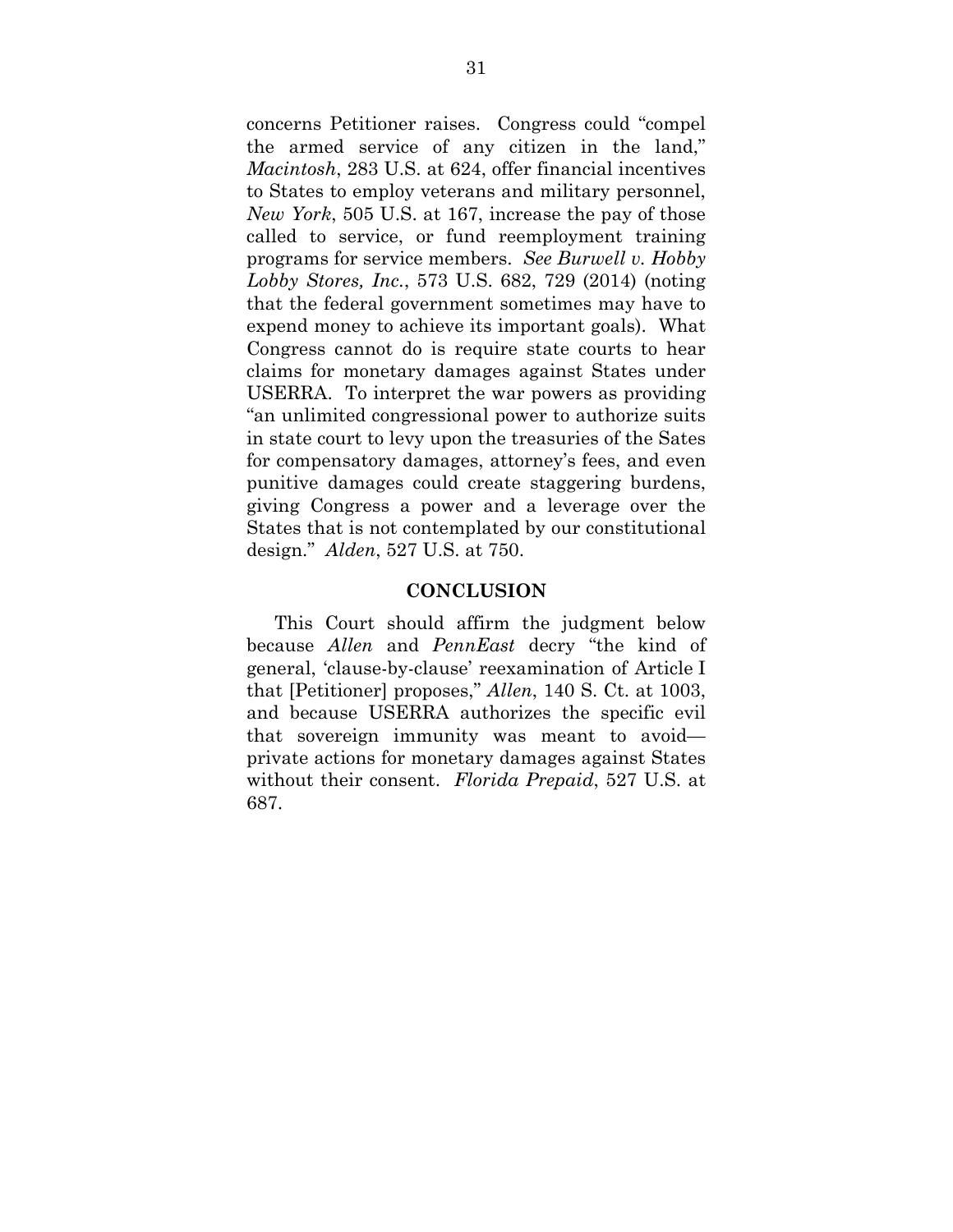concerns Petitioner raises. Congress could "compel the armed service of any citizen in the land," *Macintosh*, 283 U.S. at 624, offer financial incentives to States to employ veterans and military personnel, *New York*, 505 U.S. at 167, increase the pay of those called to service, or fund reemployment training programs for service members. *See Burwell v. Hobby Lobby Stores, Inc.*, 573 U.S. 682, 729 (2014) (noting that the federal government sometimes may have to expend money to achieve its important goals). What Congress cannot do is require state courts to hear claims for monetary damages against States under USERRA. To interpret the war powers as providing "an unlimited congressional power to authorize suits in state court to levy upon the treasuries of the Sates for compensatory damages, attorney's fees, and even punitive damages could create staggering burdens, giving Congress a power and a leverage over the States that is not contemplated by our constitutional design." *Alden*, 527 U.S. at 750.

#### **CONCLUSION**

This Court should affirm the judgment below because *Allen* and *PennEast* decry "the kind of general, 'clause-by-clause' reexamination of Article I that [Petitioner] proposes," *Allen*, 140 S. Ct. at 1003, and because USERRA authorizes the specific evil that sovereign immunity was meant to avoid private actions for monetary damages against States without their consent. *Florida Prepaid*, 527 U.S. at 687.